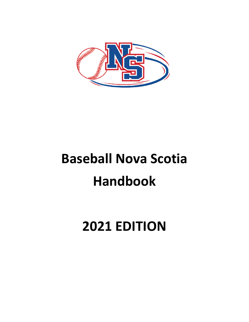

# **Baseball Nova Scotia Handbook**

## **2021 EDITION**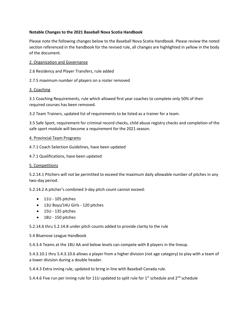#### **Notable Changes to the 2021 Baseball Nova Scotia Handbook**

Please note the following changes below to the Baseball Nova Scotia Handbook. Please review the noted section referenced in the handbook for the revised rule, all changes are highlighted in yellow in the body of the document.

#### 2. Organization and Governance

2.6 Residency and Player Transfers, rule added

2.7.5 maximum number of players on a roster removed

#### 3. Coaching

3.1 Coaching Requirements, rule which allowed first year coaches to complete only 50% of their required courses has been removed.

3.2 Team Trainers, updated list of requirements to be listed as a trainer for a team.

3.5 Safe Sport, requirement for criminal record checks, child abuse registry checks and completion of the safe sport module will become a requirement for the 2021 season.

#### 4. Provincial Team Programs

4.7.1 Coach Selection Guidelines, have been updated

4.7.1 Qualifications, have been updated

#### 5. Competitions

5.2.14.1 Pitchers will not be permitted to exceed the maximum daily allowable number of pitches in any two-day period.

5.2.14.2 A pitcher's combined 3-day pitch count cannot exceed:

- 11U 105 pitches
- 13U Boys/14U Girls 120 pitches
- 15U 135 pitches
- 18U 150 pitches

5.2.14.6 thru 5.2.14.8 under pitch counts added to provide clarity to the rule

#### 5.4 Bluenose League Handbook

5.4.3.4 Teams at the 18U AA and below levels can compete with 8 players in the lineup.

5.4.3.10.1 thru 5.4.3.10.6 allows a player from a higher division (not age category) to play with a team of a lower division during a double header.

5.4.4.3 Extra inning rule, updated to bring in line with Baseball Canada rule.

5.4.4.6 Five run per inning rule for 11U updated to split rule for  $1^{st}$  schedule and  $2^{nd}$  schedule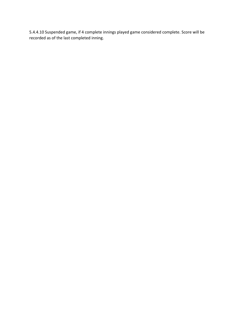5.4.4.10 Suspended game, if 4 complete innings played game considered complete. Score will be recorded as of the last completed inning.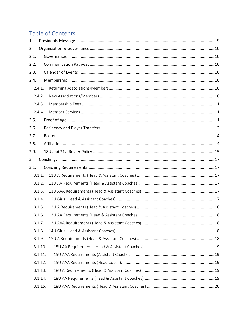### Table of Contents

| 1.   |         |  |  |  |  |
|------|---------|--|--|--|--|
| 2.   |         |  |  |  |  |
| 2.1. |         |  |  |  |  |
| 2.2. |         |  |  |  |  |
| 2.3. |         |  |  |  |  |
| 2.4. |         |  |  |  |  |
|      | 2.4.1.  |  |  |  |  |
|      | 2.4.2.  |  |  |  |  |
|      | 2.4.3.  |  |  |  |  |
|      | 2.4.4.  |  |  |  |  |
| 2.5. |         |  |  |  |  |
| 2.6. |         |  |  |  |  |
| 2.7. |         |  |  |  |  |
| 2.8. |         |  |  |  |  |
| 2.9. |         |  |  |  |  |
| 3.   |         |  |  |  |  |
| 3.1. |         |  |  |  |  |
|      | 3.1.1.  |  |  |  |  |
|      | 3.1.2.  |  |  |  |  |
|      | 3.1.3.  |  |  |  |  |
|      | 3.1.4.  |  |  |  |  |
|      | 3.1.5.  |  |  |  |  |
|      | 3.1.6.  |  |  |  |  |
|      | 3.1.7.  |  |  |  |  |
|      | 3.1.8.  |  |  |  |  |
|      | 3.1.9.  |  |  |  |  |
|      | 3.1.10. |  |  |  |  |
|      | 3.1.11. |  |  |  |  |
|      | 3.1.12. |  |  |  |  |
|      | 3.1.13. |  |  |  |  |
|      | 3.1.14. |  |  |  |  |
|      | 3.1.15. |  |  |  |  |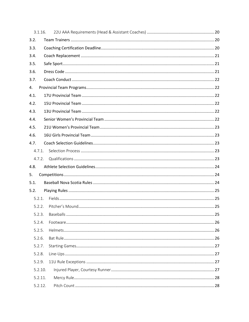| 3.1.16. |  |
|---------|--|
| 3.2.    |  |
| 3.3.    |  |
| 3.4.    |  |
| 3.5.    |  |
| 3.6.    |  |
| 3.7.    |  |
| 4.      |  |
| 4.1.    |  |
| 4.2.    |  |
| 4.3.    |  |
| 4.4.    |  |
| 4.5.    |  |
| 4.6.    |  |
| 4.7.    |  |
| 4.7.1.  |  |
| 4.7.2.  |  |
| 4.8.    |  |
| 5.      |  |
| 5.1.    |  |
| 5.2.    |  |
| 5.2.1.  |  |
| 5.2.2.  |  |
| 5.2.3.  |  |
| 5.2.4.  |  |
| 5.2.5.  |  |
| 5.2.6.  |  |
| 5.2.7.  |  |
| 5.2.8.  |  |
| 5.2.9.  |  |
| 5.2.10. |  |
| 5.2.11. |  |
| 5.2.12. |  |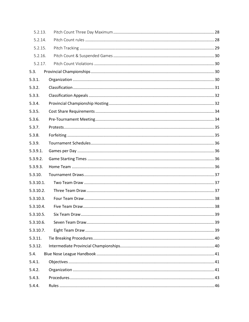| 5.2.13.   |  |
|-----------|--|
| 5.2.14.   |  |
| 5.2.15.   |  |
| 5.2.16.   |  |
| 5.2.17.   |  |
| 5.3.      |  |
| 5.3.1.    |  |
| 5.3.2.    |  |
| 5.3.3.    |  |
| 5.3.4.    |  |
| 5.3.5.    |  |
| 5.3.6.    |  |
| 5.3.7.    |  |
| 5.3.8.    |  |
| 5.3.9.    |  |
| 5.3.9.1.  |  |
| 5.3.9.2.  |  |
| 5.3.9.3.  |  |
| 5.3.10.   |  |
| 5.3.10.1. |  |
| 5.3.10.2. |  |
| 5.3.10.3. |  |
| 5.3.10.4. |  |
| 5.3.10.5. |  |
| 5.3.10.6. |  |
| 5.3.10.7. |  |
| 5.3.11.   |  |
| 5.3.12.   |  |
| 5.4.      |  |
| 5.4.1.    |  |
| 5.4.2.    |  |
| 5.4.3.    |  |
| 5.4.4.    |  |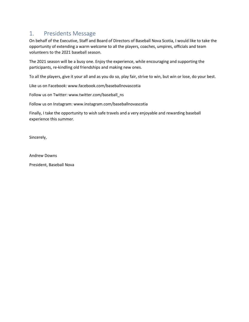### <span id="page-8-0"></span>1. Presidents Message

On behalf of the Executive, Staff and Board of Directors of Baseball Nova Scotia, I would like to take the opportunity of extending a warm welcome to all the players, coaches, umpires, officials and team volunteers to the 2021 baseball season.

The 2021 season will be a busy one. Enjoy the experience, while encouraging and supporting the participants, re-kindling old friendships and making new ones.

To all the players, give it your all and as you do so, play fair, strive to win, but win or lose, do your best.

Like us on Facebook: www.facebook.com/baseballnovascotia

Follow us on Twitter: www.twitter.com/baseball\_ns

Follow us on Instagram: www.instagram.com/baseballnovascotia

Finally, I take the opportunity to wish safe travels and a very enjoyable and rewarding baseball experience this summer.

Sincerely,

Andrew Downs

President, Baseball Nova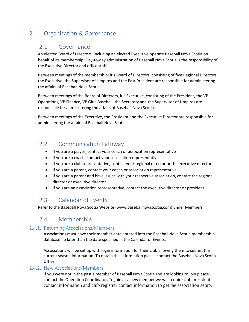### <span id="page-9-1"></span><span id="page-9-0"></span>2. Organization & Governance

### 2.1. Governance

An elected Board of Directors, including an elected Executive operate Baseball Nova Scotia on behalf of its membership. Day-to-day administration of Baseball Nova Scotia is the responsibility of the Executive Director and office staff.

Between meetings of the membership; it's Board of Directors, consisting of five Regional Directors, the Executive, the Supervisor of Umpires and the Past President are responsible for administering the affairs of Baseball Nova Scotia.

Between meetings of the Board of Directors, it's Executive, consisting of the President, the VP Operations, VP Finance, VP Girls Baseball, the Secretary and the Supervisor of Umpires are responsible for administering the affairs of Baseball Nova Scotia.

Between meetings of the Executive, the President and the Executive Director are responsible for administering the affairs of Baseball Nova Scotia.

### <span id="page-9-2"></span>2.2. Communication Pathway

- If you are a player, contact your coach or association representative
- If you are a coach, contact your association representative
- If you are a club representative, contact your regional director or the executive director
- If you are a parent, contact your coach or association representative.
- If you are a parent and have issues with your respective association, contact the regional director or executive director
- If you are an association representative, contact the executive director or president

### <span id="page-9-3"></span>2.3. Calendar of Events

Refer to the Baseball Nova Scotia Website [\(www.baseballnovascotia.com\)](http://www.baseballnovascotia.com/) under Members

### <span id="page-9-4"></span>2.4. Membership

#### <span id="page-9-5"></span>2.4.1. Returning Associations/Members

Associations must have their member data entered into the Baseball Nova Scotia membership database no later than the date specified in the Calendar of Events.

Associations will be set up with login information for their club allowing them to submit the current season information. To obtain this information please contact the Baseball Nova Scotia Office.

#### <span id="page-9-6"></span>2.4.2. New Associations/Members

If you were not in the past a member of Baseball Nova Scotia and are looking to join please contact the Operation Coordinator. To join as a new member we will require club president contact information and club registrar contact information to get the association setup.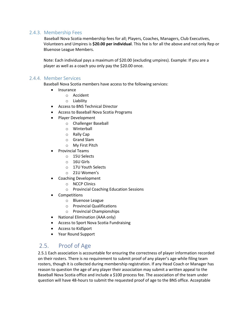#### <span id="page-10-0"></span>2.4.3. Membership Fees

Baseball Nova Scotia membership fees for all; Players, Coaches, Managers, Club Executives, Volunteers and Umpires is **\$20.00 per individual**. This fee is for all the above and not only Rep or Bluenose League Members.

Note: Each individual pays a maximum of \$20.00 (excluding umpires). Example: If you are a player as well as a coach you only pay the \$20.00 once.

#### <span id="page-10-1"></span>2.4.4. Member Services

Baseball Nova Scotia members have access to the following services:

- Insurance
	- o Accident
	- o Liability
- Access to BNS Technical Director
- Access to Baseball Nova Scotia Programs
- Player Development
	- o Challenger Baseball
	- o Winterball
	- o Rally Cap
	- o Grand Slam
	- o My First Pitch
- Provincial Teams
	- o 15U Selects
	- o 16U Girls
	- o 17U Youth Selects
	- o 21U Women's
- Coaching Development
	- o NCCP Clinics
	- o Provincial Coaching Education Sessions
- **Competitions** 
	- o Bluenose League
	- o Provincial Qualifications
	- o Provincial Championships
- National Elimination (AAA only)
- Access to Sport Nova Scotia Fundraising
- Access to KidSport
- Year Round Support

### <span id="page-10-2"></span>2.5. Proof of Age

2.5.1 Each association is accountable for ensuring the correctness of player information recorded on their rosters. There is no requirement to submit proof of any player's age while filing team rosters, though it is collected during membership registration. If any Head Coach or Manager has reason to question the age of any player their association may submit a written appeal to the Baseball Nova Scotia office and include a \$100 process fee. The association of the team under question will have 48-hours to submit the requested proof of age to the BNS office. Acceptable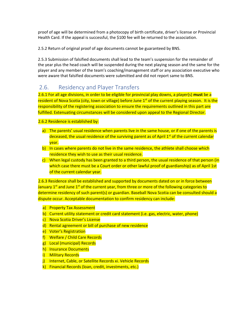proof of age will be determined from a photocopy of birth certificate, driver's license or Provincial Health Card. If the appeal is successful, the \$100 fee will be returned to the association.

2.5.2 Return of original proof of age documents cannot be guaranteed by BNS.

2.5.3 Submission of falsified documents shall lead to the team's suspension for the remainder of the year plus the head coach will be suspended during the next playing season and the same for the player and any member of the team's coaching/management staff or any association executive who were aware that falsified documents were submitted and did not report same to BNS.

### <span id="page-11-0"></span>2.6. Residency and Player Transfers

2.6.1 For all age divisions, in order to be eligible for provincial play downs, a player(s) **must** be a resident of Nova Scotia (city, town or village) before June 1<sup>st</sup> of the current playing season. It is the responsibility of the registering association to ensure the requirements outlined in this part are fulfilled. Extenuating circumstances will be considered upon appeal to the Regional Director.

2.6.2 Residence is established by:

- a) The parents' usual residence when parents live in the same house, or if one of the parents is deceased, the usual residence of the surviving parent as of April  $1<sup>st</sup>$  of the current calendar year.
- b) In cases where parents do not live in the same residence, the athlete shall choose which residence they wish to use as their usual residence.
- c) When legal custody has been granted to a third person, the usual residence of that person (in which case there must be a Court order or other lawful proof of guardianship) as of April 1st of the current calendar year.

2.6.3 Residence shall be established and supported by documents dated on or in force between January  $1<sup>st</sup>$  and June  $1<sup>st</sup>$  of the current year, from three or more of the following categories to determine residency of such parent(s) or guardian. Baseball Nova Scotia can be consulted should a dispute occur. Acceptable documentation to confirm residency can include:

- a) Property Tax Assessment
- b) Current utility statement or credit card statement (i.e. gas, electric, water, phone)
- c) Nova Scotia Driver's License
- d) Rental agreement or bill of purchase of new residence
- e) Voter's Registration
- f) Welfare / Child Care Records
- g) Local (municipal) Records
- h) Insurance Documents
- i) Military Records
- j) Internet, Cable, or Satellite Records xi. Vehicle Records
- k) Financial Records (loan, credit, investments, etc.)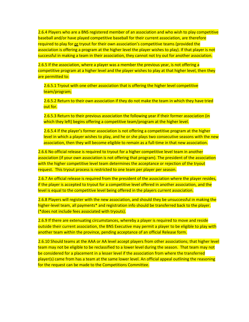2.6.4 Players who are a BNS registered member of an association and who wish to play competitive baseball and/or have played competitive baseball for their current association, are therefore required to play for or tryout for their own association's competitive teams (provided the association is offering a program at the higher level the player wishes to play). If that player is not successful in making a team in their association, they cannot not try out for another association.

2.6.5 If the association, where a player was a member the previous year, is not offering a competitive program at a higher level and the player wishes to play at that higher level, then they are permitted to:

2.6.5.1 Tryout with one other association that is offering the higher level competitive team/program;

2.6.5.2 Return to their own association if they do not make the team in which they have tried out for.

2.6.5.3 Return to their previous association the following year if their former association (in which they left) begins offering a competitive team/program at the higher level.

2.6.5.4 If the player's former association is not offering a competitive program at the higher level in which a player wishes to play, and he or she plays two consecutive seasons with the new association, then they will become eligible to remain as a full-time in that new association.

2.6.6 No official release is required to tryout for a higher competitive level team in another association (if your own association is not offering that program). The president of the association with the higher competitive level team determines the acceptance or rejection of the tryout request. This tryout process is restricted to one team per player per season.

2.6.7 An official release is required from the president of the association where the player resides, if the player is accepted to tryout for a competitive level offered in another association, and the level is equal to the competitive level being offered in the players current association.

2.6.8 Players will register with the new association, and should they be unsuccessful in making the higher-level team, all payments\* and registration info should be transferred back to the player. (\*does not include fees associated with tryouts).

2.6.9 If there are extenuating circumstances, whereby a player is required to move and reside outside their current association, the BNS Executive may permit a player to be eligible to play with another team within the province, pending acceptance of an official Release form.

2.6.10 Should teams at the AAA or AA level accept players from other associations; that higher level team may not be eligible to be reclassified to a lower level during the season. That team may not be considered for a placement in a lesser level if the association from where the transferred player(s) came from has a team at the same lower level. An official appeal outlining the reasoning for the request can be made to the Competitions Committee.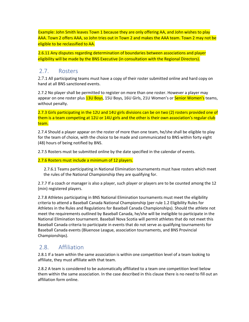Example: John Smith leaves Town 1 because they are only offering AA, and John wishes to play AAA. Town 2 offers AAA, so John tries out in Town 2 and makes the AAA team. Town 2 may not be eligible to be reclassified to AA.

2.6.11 Any disputes regarding determination of boundaries between associations and player eligibility will be made by the BNS Executive (in consultation with the Regional Directors).

### <span id="page-13-0"></span>2.7. Rosters

2.7.1 All participating teams must have a copy of their roster submitted online and hard copy on hand at all BNS sanctioned events.

2.7.2 No player shall be permitted to register on more than one roster. However a player may appear on one roster plus 13U Boys, 15U Boys, 16U Girls, 21U Women's or Senior Women's teams, without penalty.

2.7.3 Girls participating in the 12U and 14U girls divisions can be on two (2) rosters provided one of them is a team competing at 12U or 14U girls and the other is their own association's regular club team.

2.7.4 Should a player appear on the roster of more than one team, he/she shall be eligible to play for the team of choice, with the choice to be made and communicated to BNS within forty eight (48) hours of being notified by BNS.

2.7.5 Rosters must be submitted online by the date specified in the calendar of events.

2.7.6 Rosters must include a minimum of 12 players.

2.7.6.1 Teams participating in National Elimination tournaments must have rosters which meet the rules of the National Championship they are qualifying for.

2.7.7 If a coach or manager is also a player, such player or players are to be counted among the 12 (min) registered players.

2.7.8 Athletes participating in BNS National Elimination tournaments must meet the eligibility criteria to attend a Baseball Canada National Championship (per rule 1.2 Eligibility Rules for Athletes in the Rules and Regulations for Baseball Canada Championships). Should the athlete not meet the requirements outlined by Baseball Canada, he/she will be ineligible to participate in the National Elimination tournament. Baseball Nova Scotia will permit athletes that do not meet this Baseball Canada criteria to participate in events that do not serve as qualifying tournaments for Baseball Canada events (Bluenose League, association tournaments, and BNS Provincial Championships).

### <span id="page-13-1"></span>2.8. Affiliation

2.8.1 If a team within the same association is within one competition level of a team looking to affiliate, they must affiliate with that team.

2.8.2 A team is considered to be automatically affiliated to a team one competition level below them within the same association. In the case described in this clause there is no need to fill out an affiliation form online.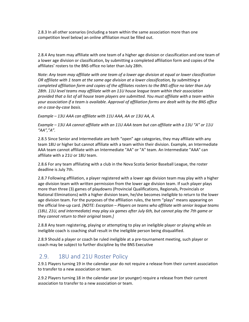2.8.3 In all other scenarios (including a team within the same association more than one competition level below) an online affiliation must be filled out.

2.8.4 Any team may affiliate with one team of a higher age division or classification and one team of a lower age division or classification, by submitting a completed affiliation form and copies of the affiliates' rosters to the BNS office no later than July 28th.

*Note: Any team may affiliate with one team of a lower age division at equal or lower classification OR affiliate with 1 team at the same age division at a lower classification, by submitting a completed affiliation form and copies of the affiliates rosters to the BNS office no later than July 28th. 11U level teams may affiliate with an 11U house league team within their association provided that a list of all house team players are submitted. You must affiliate with a team within your association if a team is available. Approval of affiliation forms are dealt with by the BNS office on a case-by-case basis.*

*Example – 13U AAA can affiliate with 11U AAA, AA or 13U AA, A.*

*Example – 13U AA cannot affiliate with an 11U AAA team but can affiliate with a 13U "A" or 11U "AA","A".*

2.8.5 Since Senior and Intermediate are both "open" age categories, they may affiliate with any team 18U or higher but cannot affiliate with a team within their division. Example, an Intermediate AAA team cannot affiliate with an Intermediate "AA" or "A" team. An Intermediate "AAA" can affiliate with a 21U or 18U team.

2.8.6 For any team affiliating with a club in the Nova Scotia Senior Baseball League, the roster deadline is July 7th.

2.8.7 Following affiliation, a player registered with a lower age division team may play with a higher age division team with written permission from the lower age division team. If such player plays more than three (3) games of playdowns (Provincial Qualifications, Regionals, Provincials or National Eliminations) with a higher division team, he/she becomes ineligible to return to the lower age division team. For the purposes of the affiliation rules, the term "plays" means appearing on the official line-up card. *[NOTE: Exception – Players on teams who affiliate with senior league teams (18U, 21U, and intermediate) may play six games after July 6th, but cannot play the 7th game or they cannot return to their original team.]*

2.8.8 Any team registering, playing or attempting to play an ineligible player or playing while an ineligible coach is coaching shall result in the ineligible person being disqualified.

2.8.9 Should a player or coach be ruled ineligible at a pre-tournament meeting, such player or coach may be subject to further discipline by the BNS Executive

### <span id="page-14-0"></span>2.9. 18U and 21U Roster Policy

2.9.1 Players turning 19 in the calendar year do not require a release from their current association to transfer to a new association or team.

2.9.2 Players turning 18 in the calendar year (or younger) require a release from their current association to transfer to a new association or team.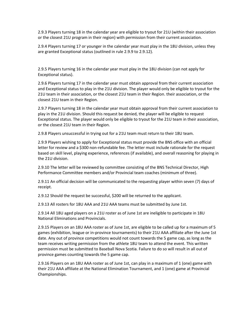2.9.3 Players turning 18 in the calendar year are eligible to tryout for 21U (within their association or the closest 21U program in their region) with permission from their current association.

2.9.4 Players turning 17 or younger in the calendar year must play in the 18U division, unless they are granted Exceptional status (outlined in rule 2.9.9 to 2.9.12).

2.9.5 Players turning 16 in the calendar year must play in the 18U division (can not apply for Exceptional status).

2.9.6 Players turning 17 in the calendar year must obtain approval from their current association and Exceptional status to play in the 21U division. The player would only be eligible to tryout for the 21U team in their association, or the closest 21U team in their Region. their association, or the closest 21U team in their Region.

2.9.7 Players turning 18 in the calendar year must obtain approval from their current association to play in the 21U division. Should this request be denied, the player will be eligible to request Exceptional status. The player would only be eligible to tryout for the 21U team in their association, or the closest 21U team in their Region.

2.9.8 Players unsuccessful in trying out for a 21U team must return to their 18U team.

2.9.9 Players wishing to apply for Exceptional status must provide the BNS office with an official letter for review and a \$300 non-refundable fee. The letter must include rationale for the request based on skill level, playing experience, references (if available), and overall reasoning for playing in the 21U division.

2.9.10 The letter will be reviewed by committee consisting of the BNS Technical Director, High Performance Committee members and/or Provincial team coaches (minimum of three).

2.9.11 An official decision will be communicated to the requesting player within seven (7) days of receipt.

2.9.12 Should the request be successful, \$200 will be returned to the applicant.

2.9.13 All rosters for 18U AAA and 21U AAA teams must be submitted by June 1st.

2.9.14 All 18U aged players on a 21U roster as of June 1st are ineligible to participate in 18U National Eliminations and Provincials.

2.9.15 Players on an 18U AAA roster as of June 1st, are eligible to be called up for a maximum of 5 games (exhibition, league or in-province tournaments) to their 21U AAA affiliate after the June 1st date. Any out of province competitions would not count towards the 5 game cap, as long as the team receives writing permission from the athlete 18U team to attend the event. This written permission must be submitted to Baseball Nova Scotia. Failure to do so will result in all out of province games counting towards the 5 game cap.

2.9.16 Players on an 18U AAA roster as of June 1st, can play in a maximum of 1 (one) game with their 21U AAA affiliate at the National Elimination Tournament, and 1 (one) game at Provincial Championships.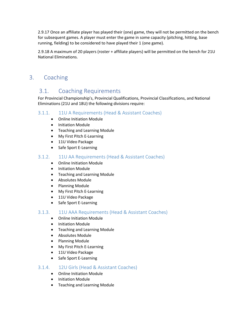2.9.17 Once an affiliate player has played their (one) game, they will not be permitted on the bench for subsequent games. A player must enter the game in some capacity (pitching, hitting, base running, fielding) to be considered to have played their 1 (one game).

2.9.18 A maximum of 20 players (roster + affiliate players) will be permitted on the bench for 21U National Eliminations.

### <span id="page-16-1"></span><span id="page-16-0"></span>3. Coaching

### 3.1. Coaching Requirements

For Provincial Championship's, Provincial Qualifications, Provincial Classifications, and National Eliminations (21U and 18U) the following divisions require:

#### <span id="page-16-2"></span>3.1.1. 11U A Requirements (Head & Assistant Coaches)

- Online Initiation Module
- Initiation Module
- Teaching and Learning Module
- My First Pitch E-Learning
- 11U Video Package
- Safe Sport E-Learning

#### <span id="page-16-3"></span>3.1.2. 11U AA Requirements (Head & Assistant Coaches)

- Online Initiation Module
- Initiation Module
- Teaching and Learning Module
- Absolutes Module
- Planning Module
- My First Pitch E-Learning
- 11U Video Package
- Safe Sport E-Learning

#### <span id="page-16-4"></span>3.1.3. 11U AAA Requirements (Head & Assistant Coaches)

- Online Initiation Module
- Initiation Module
- Teaching and Learning Module
- Absolutes Module
- Planning Module
- My First Pitch E-Learning
- 11U Video Package
- Safe Sport E-Learning

#### <span id="page-16-5"></span>3.1.4. 12U Girls (Head & Assistant Coaches)

- Online Initiation Module
- Initiation Module
- Teaching and Learning Module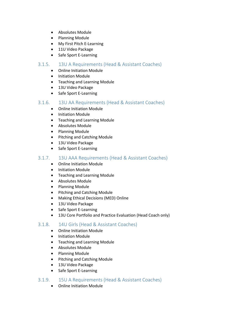- Absolutes Module
- Planning Module
- My First Pitch E-Learning
- 11U Video Package
- Safe Sport E-Learning

#### <span id="page-17-0"></span>3.1.5. 13U A Requirements (Head & Assistant Coaches)

- Online Initiation Module
- Initiation Module
- Teaching and Learning Module
- 13U Video Package
- Safe Sport E-Learning

#### <span id="page-17-1"></span>3.1.6. 13U AA Requirements (Head & Assistant Coaches)

- Online Initiation Module
- Initiation Module
- Teaching and Learning Module
- Absolutes Module
- Planning Module
- Pitching and Catching Module
- 13U Video Package
- Safe Sport E-Learning

#### <span id="page-17-2"></span>3.1.7. 13U AAA Requirements (Head & Assistant Coaches)

- Online Initiation Module
- Initiation Module
- Teaching and Learning Module
- Absolutes Module
- Planning Module
- Pitching and Catching Module
- Making Ethical Decisions (MED) Online
- 13U Video Package
- Safe Sport E-Learning
- 13U Core Portfolio and Practice Evaluation (Head Coach only)

#### <span id="page-17-3"></span>3.1.8. 14U Girls (Head & Assistant Coaches)

- Online Initiation Module
- Initiation Module
- Teaching and Learning Module
- Absolutes Module
- Planning Module
- Pitching and Catching Module
- 13U Video Package
- Safe Sport E-Learning

#### <span id="page-17-4"></span>3.1.9. 15U A Requirements (Head & Assistant Coaches)

• Online Initiation Module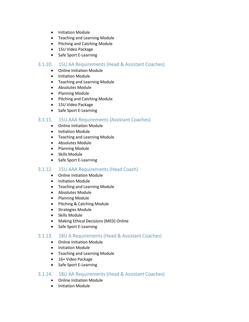- Initiation Module
- Teaching and Learning Module
- Pitching and Catching Module
- 15U Video Package
- Safe Sport E-Learning

#### <span id="page-18-0"></span>3.1.10. 15U AA Requirements (Head & Assistant Coaches)

- Online Initiation Module
- Initiation Module
- Teaching and Learning Module
- Absolutes Module
- Planning Module
- Pitching and Catching Module
- 15U Video Package
- Safe Sport E-Learning

#### <span id="page-18-1"></span>3.1.11. 15U AAA Requirements (Assistant Coaches)

- Online Initiation Module
- Initiation Module
- Teaching and Learning Module
- Absolutes Module
- Planning Module
- Skills Module
- Safe Sport E-Learning

#### <span id="page-18-2"></span>3.1.12. 15U AAA Requirements (Head Coach)

- Online Initiation Module
- Initiation Module
- Teaching and Learning Module
- Absolutes Module
- Planning Module
- Pitching & Catching Module
- Strategies Module
- Skills Module
- Making Ethical Decisions (MED) Online
- Safe Sport E-Learning

#### <span id="page-18-3"></span>3.1.13. 18U A Requirements (Head & Assistant Coaches)

- Online Initiation Module
- Initiation Module
- Teaching and Learning Module
- 16+ Video Package
- Safe Sport E-Learning

#### <span id="page-18-4"></span>3.1.14. 18U AA Requirements (Head & Assistant Coaches)

- Online Initiation Module
- Initiation Module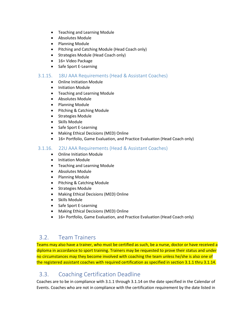- Teaching and Learning Module
- Absolutes Module
- Planning Module
- Pitching and Catching Module (Head Coach only)
- Strategies Module (Head Coach only)
- 16+ Video Package
- Safe Sport E-Learning

#### <span id="page-19-0"></span>3.1.15. 18U AAA Requirements (Head & Assistant Coaches)

- Online Initiation Module
- Initiation Module
- Teaching and Learning Module
- Absolutes Module
- Planning Module
- Pitching & Catching Module
- Strategies Module
- Skills Module
- Safe Sport E-Learning
- Making Ethical Decisions (MED) Online
- 16+ Portfolio, Game Evaluation, and Practice Evaluation (Head Coach only)

#### <span id="page-19-1"></span>3.1.16. 22U AAA Requirements (Head & Assistant Coaches)

- Online Initiation Module
- Initiation Module
- Teaching and Learning Module
- Absolutes Module
- Planning Module
- Pitching & Catching Module
- Strategies Module
- Making Ethical Decisions (MED) Online
- Skills Module
- Safe Sport E-Learning
- Making Ethical Decisions (MED) Online
- 16+ Portfolio, Game Evaluation, and Practice Evaluation (Head Coach only)

### <span id="page-19-2"></span>3.2. Team Trainers

Teams may also have a trainer, who must be certified as such, be a nurse, doctor or have received a diploma in accordance to sport training. Trainers may be requested to prove their status and under no circumstances may they become involved with coaching the team unless he/she is also one of the registered assistant coaches with required certification as specified in section 3.1.1 thru 3.1.14.

### <span id="page-19-3"></span>3.3. Coaching Certification Deadline

Coaches are to be in compliance with 3.1.1 through 3.1.14 on the date specified in the Calendar of Events. Coaches who are not in compliance with the certification requirement by the date listed in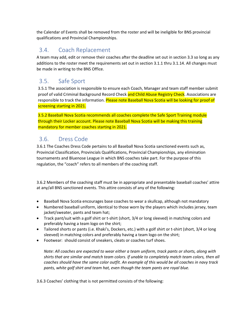the Calendar of Events shall be removed from the roster and will be ineligible for BNS provincial qualifications and Provincial Championships.

### <span id="page-20-0"></span>3.4. Coach Replacement

A team may add, edit or remove their coaches after the deadline set out in section 3.3 so long as any additions to the roster meet the requirements set out in section 3.1.1 thru 3.1.14. All changes must be made in writing to the BNS Office.

### <span id="page-20-1"></span>3.5. Safe Sport

3.5.1 The association is responsible to ensure each Coach, Manager and team staff member submit proof of valid Criminal Background Record Check and Child Abuse Registry Check. Associations are responsible to track the information. Please note Baseball Nova Scotia will be looking for proof of screening starting in 2021.

3.5.2 Baseball Nova Scotia recommends all coaches complete the Safe Sport Training module through their Locker account. Please note Baseball Nova Scotia will be making this training mandatory for member coaches starting in 2021.

### <span id="page-20-2"></span>3.6. Dress Code

3.6.1 The Coaches Dress Code pertains to all Baseball Nova Scotia sanctioned events such as, Provincial Classification, Provincials Qualifications, Provincial Championships, any elimination tournaments and Bluenose League in which BNS coaches take part. For the purpose of this regulation, the "coach" refers to all members of the coaching staff.

3.6.2 Members of the coaching staff must be in appropriate and presentable baseball coaches' attire at any/all BNS sanctioned events. This attire consists of any of the following:

- Baseball Nova Scotia encourages base coaches to wear a skullcap, although not mandatory
- Numbered baseball uniform, identical to those worn by the players which includes jersey, team jacket/sweater, pants and team hat;
- Track pant/suit with a golf shirt or t-shirt (short, 3/4 or long sleeved) in matching colors and preferably having a team logo on the shirt;
- Tailored shorts or pants (i.e. Khaki's, Dockers, etc.) with a golf shirt or t-shirt (short, 3/4 or long sleeved) in matching colors and preferably having a team logo on the shirt;
- Footwear: should consist of sneakers, cleats or coaches turf shoes.

*Note: All coaches are expected to wear either a team uniform, track pants or shorts, along with shirts that are similar and match team colors. If unable to completely match team colors, then all coaches should have the same color outfit. An example of this would be all coaches in navy track pants, white golf shirt and team hat, even though the team pants are royal blue.*

3.6.3 Coaches' clothing that is not permitted consists of the following: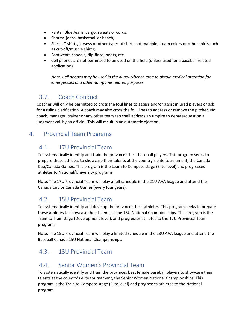- Pants: Blue Jeans, cargo, sweats or cords;
- Shorts: jeans, basketball or beach;
- Shirts: T-shirts, jerseys or other types of shirts not matching team colors or other shirts such as cut-off/muscle shirts;
- Footwear: sandals, flip-flops, boots, etc.
- Cell phones are not permitted to be used on the field (unless used for a baseball related application)

*Note: Cell phones may be used in the dugout/bench area to obtain medical attention for emergencies and other non-game related purposes.*

### <span id="page-21-0"></span>3.7. Coach Conduct

Coaches will only be permitted to cross the foul lines to assess and/or assist injured players or ask for a ruling clarification. A coach may also cross the foul lines to address or remove the pitcher. No coach, manager, trainer or any other team rep shall address an umpire to debate/question a judgment call by an official. This will result in an automatic ejection.

### <span id="page-21-2"></span><span id="page-21-1"></span>4. Provincial Team Programs

### 4.1. 17U Provincial Team

To systematically identify and train the province's best baseball players. This program seeks to prepare these athletes to showcase their talents at the country's elite tournament, the Canada Cup/Canada Games. This program is the Learn to Compete stage (Elite level) and progresses athletes to National/University programs.

Note: The 17U Provincial Team will play a full schedule in the 21U AAA league and attend the Canada Cup or Canada Games (every four years).

### <span id="page-21-3"></span>4.2. 15U Provincial Team

To systematically identify and develop the province's best athletes. This program seeks to prepare these athletes to showcase their talents at the 15U National Championships. This program is the Train to Train stage (Development level), and progresses athletes to the 17U Provincial Team programs.

Note: The 15U Provincial Team will play a limited schedule in the 18U AAA league and attend the Baseball Canada 15U National Championships.

### <span id="page-21-4"></span>4.3. 13U Provincial Team

### <span id="page-21-5"></span>4.4. Senior Women's Provincial Team

To systematically identify and train the provinces best female baseball players to showcase their talents at the country's elite tournament, the Senior Women National Championships. This program is the Train to Compete stage (Elite level) and progresses athletes to the National program.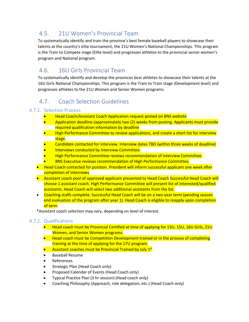### <span id="page-22-0"></span>4.5. 21U Women's Provincial Team

To systematically identify and train the province's best female baseball players to showcase their talents at the country's elite tournament, the 21U Women's National Championships. This program is the Train to Compete stage (Elite level) and progresses athletes to the provincial senior women's program and National program.

### <span id="page-22-1"></span>4.6. 16U Girls Provincial Team

To systematically identify and develop the provinces best athletes to showcase their talents at the 16U Girls National Championships. This program is the Train to Train stage (Development level) and progresses athletes to the 21U Women and Senior Women programs.

### <span id="page-22-2"></span>4.7. Coach Selection Guidelines

#### <span id="page-22-3"></span>4.7.1. Selection Process

- Head Coach/Assistant Coach Application request posted on BNS website
- Application deadline (approximately two (2) weeks from posting. Applicants must provide required qualification information by deadline
- High Performance Committee to review applications, and create a short list for interview stage.
- Candidate contacted for interview. Interview dates TBD (within three weeks of deadline)
- Interviews conducted by Interview Committee.
- High Performance Committee reviews recommendation of Interview Committee.
- BNS Executive reviews recommendation of High Performance Committee.
- Head Coach contacted for position. President will inform successful applicant one week after completion of interviews
- Assistant coach pool of approved applicant presented to Head Coach Successful Head Coach will choose 1 assistant coach. High Performance Committee will present list of interested/qualified assistants. Head Coach will select two additional assistants from the list.
- Coaching staffs complete. Successful Head Coach will be on a two-year term (pending season end evaluation of the program after year 1). Head Coach is eligible to reapply upon completion of term

\*Assistant coach selection may vary, depending on level of interest.

#### <span id="page-22-4"></span>4.7.2. Qualifications

- Head coach must be Provincial Certified at time of applying for 13U, 15U, 16U Girls, 21U Women, and Senior Women programs.
- Head coach must be Competition Development trained or in the process of completing training at the time of applying for the 17U program.
- Assistant coaches must be Provincial Trained by July 1st
- Baseball Resume
- References
- Strategic Plan (Head Coach only)
- Proposed Calendar of Events (Head Coach only)
- Typical Practice Plan (3 hr session) (Head coach only)
- Coaching Philosophy (Approach, role delegation, etc.) (Head Coach only)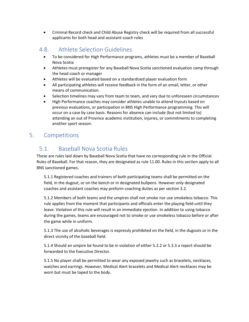• Criminal Record check and Child Abuse Registry check will be required from all successful applicants for both head and assistant coach roles

### <span id="page-23-0"></span>4.8. Athlete Selection Guidelines

- To be considered for High Performance programs, athletes must be a member of Baseball Nova Scotia
- Athletes must preregister for any Baseball Nova Scotia sanctioned evaluation camp through the head coach or manager
- Athletes will be evaluated based on a standardized player evaluation form
- All participating athletes will receive feedback in the form of an email, letter, or other means of communication.
- Selection timelines may vary from team to team, and vary due to unforeseen circumstances
- High Performance coaches may consider athletes unable to attend tryouts based on previous evaluations, or participation in BNS High Performance programming. This will occur on a case by case basis. Reasons for absence can include (but not limited to) attending an out of Province academic institution, injuries, or commitments to completing another sport season.

### <span id="page-23-2"></span><span id="page-23-1"></span>5. Competitions

### 5.1. Baseball Nova Scotia Rules

These are rules laid down by Baseball Nova Scotia that have no corresponding rule in the Official Rules of Baseball. For that reason, they are designated as rule 11.00. Rules in this section apply to all BNS sanctioned games.

5.1.1 Registered coaches and trainers of both participating teams shall be permitted on the field, in the dugout, or on the bench or in designated bullpens. However only designated coaches and assistant coaches may preform coaching duties as per section 3.2.

5.1.2 Members of both teams and the umpires shall not smoke nor use smokeless tobacco. This rule applies from the moment that participants and officials enter the playing field until they leave. Violation of this rule will result in an immediate ejection. In addition to using tobacco during the games, teams are encouraged not to smoke or use smokeless tobacco before or after the game while in uniform.

5.1.3 The use of alcoholic beverages is expressly prohibited on the field, in the dugouts or in the direct vicinity of the baseball field.

5.1.4 Should an umpire be found to be in violation of either 5.2.2 or 5.3.3 a report should be forwarded to the Executive Director.

5.1.5 No player shall be permitted to wear any exposed jewelry such as bracelets, necklaces, watches and earrings. However, Medical Alert bracelets and Medical Alert necklaces may be worn but must be taped to the body.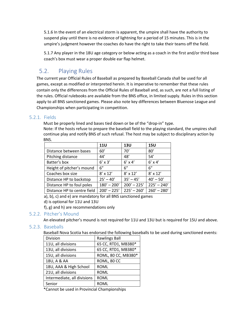5.1.6 In the event of an electrical storm is apparent, the umpire shall have the authority to suspend play until there is no evidence of lightning for a period of 15 minutes. This is in the umpire's judgment however the coaches do have the right to take their teams off the field.

5.1.7 Any player in the 18U age category or below acting as a coach in the first and/or third base coach's box must wear a proper double ear flap helmet.

### <span id="page-24-0"></span>5.2. Playing Rules

The current year Official Rules of Baseball as prepared by Baseball Canada shall be used for all games, except as modified or interpreted herein. It is imperative to remember that these rules contain only the differences from the Official Rules of Baseball and, as such, are not a full listing of the rules. Official rulebooks are available from the BNS office, in limited supply. Rules in this section apply to all BNS sanctioned games. Please also note key differences between Bluenose League and Championships when participating in competition.

#### <span id="page-24-1"></span>5.2.1. Fields

Must be properly lined and bases tied down or be of the "drop-in" type.

Note: If the hosts refuse to prepare the baseball field to the playing standard, the umpires shall continue play and notify BNS of such refusal. The host may be subject to disciplinary action by BNS.

|                             | <b>11U</b>      | <b>13U</b>      | <b>15U</b>      |
|-----------------------------|-----------------|-----------------|-----------------|
| Distance between bases      | 60'             | 70'             | 80'             |
| Pitching distance           | 44'             | 48'             | 54'             |
| Batter's box                | $6' \times 3'$  | $6' \times 4'$  | $6' \times 4'$  |
| Height of pitcher's mound   | 6''             | 6''             | 6"              |
| Coaches box size            | $8' \times 12'$ | $8' \times 12'$ | $8' \times 12'$ |
| Distance HP to backstop     | $25' - 40'$     | $35' - 45'$     | $40' - 50'$     |
| Distance HP to foul poles   | $180' - 200'$   | $200' - 225'$   | $225' - 240'$   |
| Distance HP to centre field | $200' - 225'$   | $225' - 260'$   | $260' - 280'$   |

a), b), c) and e) are mandatory for all BNS sanctioned games

d) is optional for 11U and 13U

f), g) and h) are recommendations only

#### <span id="page-24-2"></span>5.2.2. Pitcher's Mound

An elevated pitcher's mound is not required for 11U and 13U but is required for 15U and above.

#### <span id="page-24-3"></span>5.2.3. Baseballs

Baseball Nova Scotia has endorsed the following baseballs to be used during sanctioned events:

| Division                    | <b>Rawlings Ball</b> |
|-----------------------------|----------------------|
| 11U, all divisions          | 65 CC, RTD1, MB380*  |
| 13U, all divisions          | 65 CC, RTD1, MB380*  |
| 15U, all divisions          | ROML, 80 CC, MB380*  |
| 18U, A & AA                 | ROML, 80 CC          |
| 18U, AAA & High School      | <b>ROML</b>          |
| 21U, all divisions          | <b>ROML</b>          |
| Intermediate, all divisions | <b>ROML</b>          |
| Senior                      | <b>ROML</b>          |

\*Cannot be used in Provincial Championships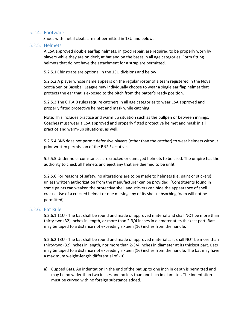#### <span id="page-25-0"></span>5.2.4. Footware

Shoes with metal cleats are not permitted in 13U and below.

#### <span id="page-25-1"></span>5.2.5. Helmets

A CSA approved double earflap helmets, in good repair, are required to be properly worn by players while they are on deck, at bat and on the bases in all age categories. Form fitting helmets that do not have the attachment for a strap are permitted.

5.2.5.1 Chinstraps are optional in the 13U divisions and below

5.2.5.2 A player whose name appears on the regular roster of a team registered in the Nova Scotia Senior Baseball League may individually choose to wear a single ear flap helmet that protects the ear that is exposed to the pitch from the batter's ready position.

5.2.5.3 The C.F.A.B rules require catchers in all age categories to wear CSA approved and properly fitted protective helmet and mask while catching.

Note: This includes practice and warm up situation such as the bullpen or between innings. Coaches must wear a CSA approved and properly fitted protective helmet and mask in all practice and warm‑up situations, as well.

5.2.5.4 BNS does not permit defensive players (other than the catcher) to wear helmets without prior written permission of the BNS Executive.

5.2.5.5 Under no circumstances are cracked or damaged helmets to be used. The umpire has the authority to check all helmets and eject any that are deemed to be unfit.

5.2.5.6 For reasons of safety, no alterations are to be made to helmets (i.e. paint or stickers) unless written authorization from the manufacturer can be provided. (Constituents found in some paints can weaken the protective shell and stickers can hide the appearance of shell cracks. Use of a cracked helmet or one missing any of its shock absorbing foam will not be permitted).

#### <span id="page-25-2"></span>5.2.6. Bat Rule

5.2.6.1 11U - The bat shall be round and made of approved material and shall NOT be more than thirty-two (32) inches in length, or more than 2-3/4 inches in diameter at its thickest part. Bats may be taped to a distance not exceeding sixteen (16) inches from the handle.

5.2.6.2 13U - The bat shall be round and made of approved material … it shall NOT be more than thirty-two (32) inches in length, nor more than 2-3/4 inches in diameter at its thickest part. Bats may be taped to a distance not exceeding sixteen (16) inches from the handle. The bat may have a maximum weight-length differential of -10.

a) Cupped Bats. An indentation in the end of the bat up to one inch in depth is permitted and may be no wider than two inches and no less than one inch in diameter. The indentation must be curved with no foreign substance added.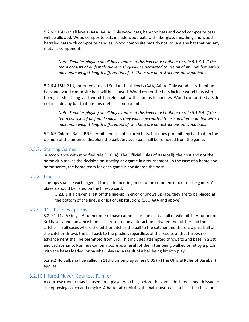5.2.6.3 15U - In all levels (AAA, AA, A) Only wood bats, bamboo bats and wood composite bats will be allowed. Wood composite bats include wood bats with fiberglass sheathing and wood barreled bats with composite handles. Wood composite bats do not include any bat that has any metallic component.

*Note: Females playing on all boys' teams at this level must adhere to rule 5.1.6.3. If the team consists of all female players, they will be permitted to use an aluminum bat with a maximum weight-length differential of -5. There are no restrictions on wood bats.*

5.2.6.4 18U, 21U, Intermediate and Senior - In all levels (AAA, AA, A) Only wood bats, bamboo bats and wood composite bats will be allowed. Wood composite bats include wood bats with fiberglass sheathing and wood barreled bats with composite handles. Wood composite bats do not include any bat that has any metallic component.

*Note: Females playing on all boys' teams at this level must adhere to rule 5.1.6.4. If the team consists of all female player's they will be permitted to use an aluminum bat with a maximum weight-length differential of -5. There are no restrictions on wood bats.*

5.2.6.5 Colored Bats - BNS permits the use of colored bats, but does prohibit any bat that, in the opinion of the umpires, discolors the ball. Any such bat shall be removed from the game.

#### <span id="page-26-0"></span>5.2.7. Starting Games

In accordance with modified rule 3.10 (a) (The Official Rules of Baseball), the host and not the home club makes the decision on starting any game in a tournament. In the case of a home and home series, the home team for each game is considered the host.

#### <span id="page-26-1"></span>5.2.8. Line-Ups

Line-ups shall be exchanged at the plate meeting prior to the commencement of the game. All players should be listed on the line-up card.

5.2.8.1 If a player is left off the line-up in error or shows up late, they are to be placed at the bottom of the lineup or list of substitutions (18U AAA and above)

#### <span id="page-26-2"></span>5.2.9. 11U Rule Exceptions

5.2.9.1 11U A Only – A runner on 3rd base cannot score on a pass ball or wild pitch. A runner on 3rd base cannot advance home as a result of any interaction between the pitcher and the catcher. In all cases where the pitcher pitches the ball to the catcher and there is a pass ball or the catcher throws the ball back to the pitcher, regardless of the results of that throw, no advancement shall be permitted from 3rd. This includes attempted throws to 2nd base in a 1st and 3rd scenario. Runners can only score as a result of the hitter being walked or hit by a pitch with the bases loaded, or baseball plays as a result of a ball being hit into play.

5.2.9.2 No balk shall be called in 11U division play unless 8.05 (l) (The Official Rules of Baseball) applies.

#### <span id="page-26-3"></span>5.2.10.Injured Player, Courtesy Runner

A courtesy runner may be used for a player who has, before the game, declared a health issue to the opposing coach and umpire. A batter after hitting the ball must reach at least first base on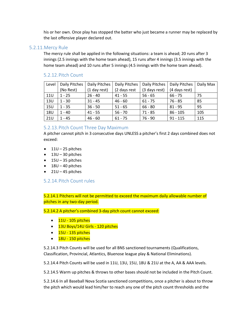his or her own. Once play has stopped the batter who just became a runner may be replaced by the last offensive player declared out.

#### <span id="page-27-0"></span>5.2.11.Mercy Rule

The mercy rule shall be applied in the following situations: a team is ahead; 20 runs after 3 innings (2.5 innings with the home team ahead), 15 runs after 4 innings (3.5 innings with the home team ahead) and 10 runs after 5 innings (4.5 innings with the home team ahead).

#### <span id="page-27-1"></span>5.2.12.Pitch Count

| Level      | Daily Pitches | Daily Pitches | Daily Pitches | Daily Pitches | Daily Pitches | Daily Max |
|------------|---------------|---------------|---------------|---------------|---------------|-----------|
|            | (No Rest)     | (1 day rest)  | (2 days rest  | (3 days rest) | (4 days rest) |           |
| 11U        | $1 - 25$      | $26 - 40$     | $41 - 55$     | $56 - 65$     | $66 - 75$     | 75        |
| 13U        | $1 - 30$      | $31 - 45$     | $46 - 60$     | $61 - 75$     | $76 - 85$     | 85        |
| <b>15U</b> | $1 - 35$      | $36 - 50$     | $51 - 65$     | $66 - 80$     | $81 - 95$     | 95        |
| <b>18U</b> | $1 - 40$      | $41 - 55$     | $56 - 70$     | $71 - 85$     | $86 - 105$    | 105       |
| <b>21U</b> | $1 - 45$      | $46 - 60$     | $61 - 75$     | $76 - 90$     | $91 - 115$    | 115       |

#### <span id="page-27-2"></span>5.2.13.Pitch Count Three Day Maximum

A pitcher cannot pitch in 3 consecutive days UNLESS a pitcher's first 2 days combined does not exceed:

- $\bullet$  11U 25 pitches
- $\bullet$  13U 30 pitches
- $\bullet$  15U 35 pitches
- $\bullet$  18U 40 pitches
- $\bullet$  21U 45 pitches

#### <span id="page-27-3"></span>5.2.14.Pitch Count rules

5.2.14.1 Pitchers will not be permitted to exceed the maximum daily allowable number of pitches in any two-day period.

5.2.14.2 A pitcher's combined 3-day pitch count cannot exceed:

- $\bullet$   $11U 105$  pitches
- 13U Boys/14U Girls 120 pitches
- $\bullet$   $15$ U 135 pitches
- $\bullet$   $18$ U 150 pitches

5.2.14.3 Pitch Counts will be used for all BNS sanctioned tournaments (Qualifications, Classification, Provincial, Atlantics, Bluenose league play & National Eliminations).

5.2.14.4 Pitch Counts will be used in 11U, 13U, 15U, 18U & 21U at the A, AA & AAA levels.

5.2.14.5 Warm up pitches & throws to other bases should not be included in the Pitch Count.

5.2.14.6 In all Baseball Nova Scotia sanctioned competitions, once a pitcher is about to throw the pitch which would lead him/her to reach any one of the pitch count thresholds and the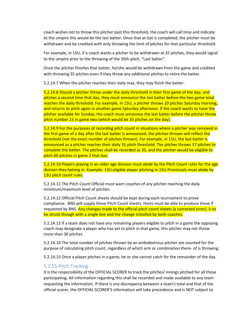coach wishes not to throw this pitcher past this threshold, the coach will call time and indicate to the umpire this would be the last batter. Once that at-bat is completed, the pitcher must be withdrawn and be credited with only throwing the limit of pitches for that particular threshold.

For example, in 15U, if a coach wants a pitcher to be withdrawn at 35 pitches, they would signal to the umpire prior to the throwing of the 35th pitch. "Last batter".

Once the pitcher finishes that batter, he/she would be withdrawn from the game and credited with throwing 35 pitches even if they threw any additional pitches to retire the batter.

5.2.14.7 When the pitcher reaches their daily max, they may finish the batter.

5.2.14.8 Should a pitcher throw under the daily threshold in their first game of the day, and pitches a second time that day, they must announce the last batter before the two game total reaches the daily threshold. For example, in 15U, a pitcher throws 20 pitches Saturday morning, and returns to pitch again in another game Saturday afternoon. If the coach wants to have the pitcher available for Sunday, the coach must announce the last batter before the pitcher throw pitch number 15 in game two (which would be 35 pitches on the day).

5.2.14.9 For the purposes of recording pitch count in situations where a pitcher was removed in the first game of a day after the last batter is announced, the pitches thrown will reflect the threshold (not the exact number of pitches thrown). For example, in 15U, the last batter is announced as a pitcher reaches their daily 35 pitch threshold. The pitcher throws 37 pitches to complete the batter. The pitches shall be recorded as 35, and the pitcher would be eligible to pitch 60 pitches in game 2 that day.

5.2.14.10 Players playing in an older age division must abide by the Pitch Count rules for the age division they belong in. Example: 13U eligible player pitching in 15U Provincials must abide by 13U pitch count rules.

5.2.14.11 The Pitch Count Official must warn coaches of any pitcher reaching the daily minimum/maximum level of pitches.

5.2.14.12 Official Pitch Count sheets should be kept during each tournament to prove compliance. BNS will supply these Pitch Count sheets. Hosts must be able to produce these if requested by BNS. Any changes made to the official pitch count sheets (a corrected error), is to be struck though with a single line and the change initialled by both coaches.

5.2.14.13 If a team does not have any remaining players eligible to pitch in a game the opposing coach may designate a player who has yet to pitch in that game, this pitcher may not throw more than 30 pitches.

5.2.14.14 The total number of pitches thrown by an ambidextrous pitcher are counted for the purpose of calculating pitch count, regardless of which arm or combination there- of is throwing.

5.2.14.15 Once a player pitches in a game, he or she cannot catch for the remainder of the day.

#### <span id="page-28-0"></span>5.2.15.Pitch Tracking

It is the responsibility of the OFFICIAL SCORER to track the pitches/ innings pitched for all those participating. All information regarding this shall be recorded and made available to any team requesting the information. If there is any discrepancy between a team's total and that of the official scorer, the OFFICIAL SCORER'S information will take precedence and is NOT subject to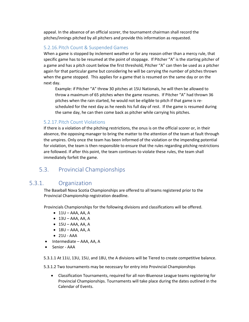appeal. In the absence of an official scorer, the tournament chairman shall record the pitches/innings pitched by all pitchers and provide this information as requested.

#### <span id="page-29-0"></span>5.2.16.Pitch Count & Suspended Games

When a game is stopped by inclement weather or for any reason other than a mercy rule, that specific game has to be resumed at the point of stoppage. If Pitcher "A" is the starting pitcher of a game and has a pitch count below the first threshold, Pitcher "A" can then be used as a pitcher again for that particular game but considering he will be carrying the number of pitches thrown when the game stopped. This applies for a game that is resumed on the same day or on the next day.

Example: if Pitcher "A" threw 30 pitches at 15U Nationals, he will then be allowed to throw a maximum of 65 pitches when the game resumes. If Pitcher "A" had thrown 36 pitches when the rain started, he would not be eligible to pitch if that game is rescheduled for the next day as he needs his full day of rest. If the game is resumed during the same day, he can then come back as pitcher while carrying his pitches.

#### <span id="page-29-1"></span>5.2.17.Pitch Count Violations

If there is a violation of the pitching restrictions, the onus is on the official scorer or, in their absence, the opposing manager to bring the matter to the attention of the team at fault through the umpires. Only once the team has been informed of the violation or the impending potential for violation, the team is then responsible to ensure that the rules regarding pitching restrictions are followed. If after this point, the team continues to violate these rules, the team shall immediately forfeit the game.

### <span id="page-29-2"></span>5.3. Provincial Championships

### <span id="page-29-3"></span>5.3.1. Organization

The Baseball Nova Scotia Championships are offered to all teams registered prior to the Provincial Championship registration deadline.

Provincials Championships for the following divisions and classifications will be offered.

- $\bullet$  11U AAA, AA, A
- $\bullet$  13U AAA, AA, A
- $\bullet$  15U AAA, AA, A
- $\bullet$  18U AAA, AA, A
- 21U AAA
- Intermediate AAA, AA, A
- Senior AAA

5.3.1.1 At 11U, 13U, 15U, and 18U, the A divisions will be Tiered to create competitive balance.

5.3.1.2 Two tournaments may be necessary for entry into Provincial Championships

• Classification Tournaments, required for all non-Bluenose League teams registering for Provincial Championships. Tournaments will take place during the dates outlined in the Calendar of Events.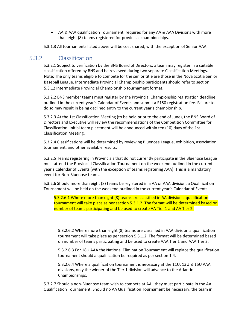• AA & AAA qualification Tournament, required for any AA & AAA Divisions with more than eight (8) teams registered for provincial championships.

5.3.1.3 All tournaments listed above will be cost shared, with the exception of Senior AAA.

### <span id="page-30-0"></span>5.3.2. Classification

5.3.2.1 Subject to verification by the BNS Board of Directors, a team may register in a suitable classification offered by BNS and be reviewed during two separate Classification Meetings. Note: The only teams eligible to compete for the senior title are those in the Nova Scotia Senior Baseball League. Intermediate Provincial Championship participants should refer to section 5.3.12 Intermediate Provincial Championship tournament format.

5.3.2.2 BNS member teams must register by the Provincial Championship registration deadline outlined in the current year's Calendar of Events and submit a \$150 registration fee. Failure to do so may result in being declined entry to the current year's championship.

5.3.2.3 At the 1st Classification Meeting (to be held prior to the end of June), the BNS Board of Directors and Executive will review the recommendations of the Competition Committee for Classification. Initial team placement will be announced within ten (10) days of the 1st Classification Meeting.

5.3.2.4 Classifications will be determined by reviewing Bluenose League, exhibition, association tournament, and other available results.

5.3.2.5 Teams registering in Provincials that do not currently participate in the Bluenose League must attend the Provincial Classification Tournament on the weekend outlined in the current year's Calendar of Events (with the exception of teams registering AAA). This is a mandatory event for Non-Bluenose teams.

5.3.2.6 Should more than eight (8) teams be registered in a AA or AAA division, a Qualification Tournament will be held on the weekend outlined in the current year's Calendar of Events.

5.3.2.6.1 Where more than eight (8) teams are classified in AA division a qualification tournament will take place as per section 5.3.1.2. The format will be determined based on number of teams participating and be used to create AA Tier 1 and AA Tier 2.

5.3.2.6.2 Where more than eight (8) teams are classified in AAA division a qualification tournament will take place as per section 5.3.1.2. The format will be determined based on number of teams participating and be used to create AAA Tier 1 and AAA Tier 2.

5.3.2.6.3 For 18U AAA the National Elimination Tournament will replace the qualification tournament should a qualification be required as per section 1.4.

5.3.2.6.4 Where a qualification tournament is necessary at the 11U, 13U & 15U AAA divisions, only the winner of the Tier 1 division will advance to the Atlantic Championships.

5.3.2.7 Should a non-Bluenose team wish to compete at AA , they must participate in the AA Qualification Tournament. Should no AA Qualification Tournament be necessary, the team in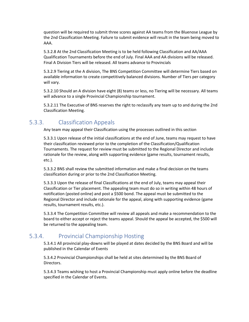question will be required to submit three scores against AA teams from the Bluenose League by the 2nd Classification Meeting. Failure to submit evidence will result in the team being moved to AAA.

5.3.2.8 At the 2nd Classification Meeting is to be held following Classification and AA/AAA Qualification Tournaments before the end of July. Final AAA and AA divisions will be released. Final A Division Tiers will be released. All teams advance to Provincials

5.3.2.9 Tiering at the A division, The BNS Competition Committee will determine Tiers based on available information to create competitively balanced divisions. Number of Tiers per category will vary.

5.3.2.10 Should an A division have eight (8) teams or less, no Tiering will be necessary. All teams will advance to a single Provincial Championship tournament.

5.3.2.11 The Executive of BNS reserves the right to reclassify any team up to and during the 2nd Classification Meeting.

### <span id="page-31-0"></span>5.3.3. Classification Appeals

Any team may appeal their Classification using the processes outlined in this section

5.3.3.1 Upon release of the initial classifications at the end of June, teams may request to have their classification reviewed prior to the completion of the Classification/Qualification Tournaments. The request for review must be submitted to the Regional Director and include rationale for the review, along with supporting evidence (game results, tournament results, etc.).

5.3.3.2 BNS shall review the submitted information and make a final decision on the teams classification during or prior to the 2nd Classification Meeting.

5.3.3.3 Upon the release of final Classifications at the end of July, teams may appeal their Classification or Tier placement. The appealing team must do so in writing within 48 hours of notification (posted online) and post a \$500 bond. The appeal must be submitted to the Regional Director and include rationale for the appeal, along with supporting evidence (game results, tournament results, etc.).

5.3.3.4 The Competition Committee will review all appeals and make a recommendation to the board to either accept or reject the teams appeal. Should the appeal be accepted, the \$500 will be returned to the appealing team.

### <span id="page-31-1"></span>5.3.4. Provincial Championship Hosting

5.3.4.1 All provincial play-downs will be played at dates decided by the BNS Board and will be published in the Calendar of Events

5.3.4.2 Provincial Championships shall be held at sites determined by the BNS Board of Directors.

5.3.4.3 Teams wishing to host a Provincial Championship must apply online before the deadline specified in the Calendar of Events.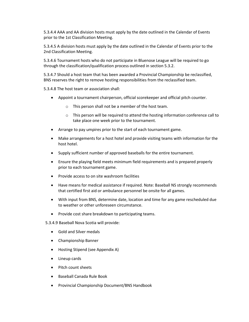5.3.4.4 AAA and AA division hosts must apply by the date outlined in the Calendar of Events prior to the 1st Classification Meeting.

5.3.4.5 A division hosts must apply by the date outlined in the Calendar of Events prior to the 2nd Classification Meeting.

5.3.4.6 Tournament hosts who do not participate in Bluenose League will be required to go through the classification/qualification process outlined in section 5.3.2.

5.3.4.7 Should a host team that has been awarded a Provincial Championship be reclassified, BNS reserves the right to remove hosting responsibilities from the reclassified team.

5.3.4.8 The host team or association shall:

- Appoint a tournament chairperson, official scorekeeper and official pitch counter.
	- o This person shall not be a member of the host team.
	- $\circ$  This person will be required to attend the hosting information conference call to take place one week prior to the tournament.
- Arrange to pay umpires prior to the start of each tournament game.
- Make arrangements for a host hotel and provide visiting teams with information for the host hotel.
- Supply sufficient number of approved baseballs for the entire tournament.
- Ensure the playing field meets minimum field requirements and is prepared properly prior to each tournament game.
- Provide access to on site washroom facilities
- Have means for medical assistance if required. Note: Baseball NS strongly recommends that certified first aid or ambulance personnel be onsite for all games.
- With input from BNS, determine date, location and time for any game rescheduled due to weather or other unforeseen circumstance.
- Provide cost share breakdown to participating teams.

5.3.4.9 Baseball Nova Scotia will provide:

- Gold and Silver medals
- Championship Banner
- Hosting Stipend (see Appendix A)
- Lineup cards
- Pitch count sheets
- Baseball Canada Rule Book
- Provincial Championship Document/BNS Handbook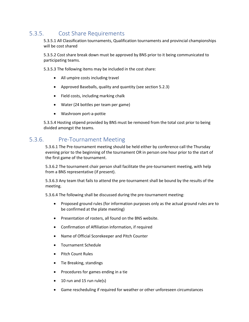### <span id="page-33-0"></span>5.3.5. Cost Share Requirements

5.3.5.1 All Classification tournaments, Qualification tournaments and provincial championships will be cost shared

5.3.5.2 Cost share break down must be approved by BNS prior to it being communicated to participating teams.

5.3.5.3 The following items may be included in the cost share:

- All umpire costs including travel
- Approved Baseballs, quality and quantity (see section 5.2.3)
- Field costs, including marking chalk
- Water (24 bottles per team per game)
- Washroom port-a-pottie

5.3.5.4 Hosting stipend provided by BNS must be removed from the total cost prior to being divided amongst the teams.

### <span id="page-33-1"></span>5.3.6. Pre-Tournament Meeting

5.3.6.1 The Pre-tournament meeting should be held either by conference call the Thursday evening prior to the beginning of the tournament OR in person one hour prior to the start of the first game of the tournament.

5.3.6.2 The tournament chair person shall facilitate the pre-tournament meeting, with help from a BNS representative (if present).

5.3.6.3 Any team that fails to attend the pre-tournament shall be bound by the results of the meeting.

5.3.6.4 The following shall be discussed during the pre-tournament meeting:

- Proposed ground rules (for information purposes only as the actual ground rules are to be confirmed at the plate meeting)
- Presentation of rosters, all found on the BNS website.
- Confirmation of Affiliation information, if required
- Name of Official Scorekeeper and Pitch Counter
- Tournament Schedule
- Pitch Count Rules
- Tie Breaking, standings
- Procedures for games ending in a tie
- 10 run and 15 run rule(s)
- Game rescheduling if required for weather or other unforeseen circumstances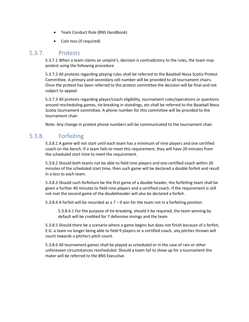- Team Conduct Rule (BNS Handbook)
- Coin toss (if required)

### <span id="page-34-0"></span>5.3.7. Protests

5.3.7.1 When a team claims an umpire's, decision is contradictory to the rules, the team may protest using the following procedure

5.3.7.2 All protests regarding playing rules shall be referred to the Baseball Nova Scotia Protest Committee. A primary and secondary cell number will be provided to all tournament chairs. Once the protest has been referred to the protest committee the decision will be final and not subject to appeal.

5.3.7.3 All protests regarding player/coach eligibility, tournament rules/operations or questions around rescheduling games, tie breaking in standings, etc shall be referred to the Baseball Nova Scotia tournament committee. A phone number for this committee will be provided to the tournament chair.

Note: Any change in protest phone numbers will be communicated to the tournament chair.

### <span id="page-34-1"></span>5.3.8. Forfeiting

5.3.8.1 A game will not start until each team has a minimum of nine players and one certified coach on the bench. If a team fails to meet this requirement, they will have 20 minutes from the scheduled start time to meet the requirement.

5.3.8.2 Should both teams not be able to field nine players and one certified coach within 20 minutes of the scheduled start time, then such game will be declared a double forfeit and result in a loss to each team.

5.3.8.3 Should such forfeiture be the first game of a double header, the forfeiting team shall be given a further 40 minutes to field nine players and a certified coach. If the requirement is still not met the second game of the doubleheader will also be declared a forfeit.

5.3.8.4 A forfeit will be recorded as a  $7 - 0$  win for the team not in a forfeiting position.

5.3.8.4.1 For the purpose of tie-breaking, should it be required, the team winning by default will be credited for 7 defensive innings and the team

5.3.8.5 Should there be a scenario where a game begins but does not finish because of a forfeit, E.G. a team no longer being able to field 9 players or a certified coach, any pitches thrown will count towards a pitchers pitch count.

5.3.8.6 All tournament games shall be played as scheduled or in the case of rain or other unforeseen circumstances rescheduled. Should a team fail to show up for a tournament the mater will be referred to the BNS Executive.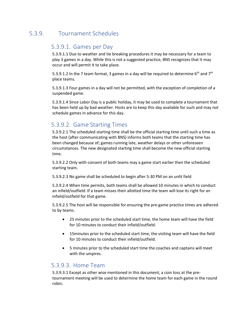### <span id="page-35-1"></span><span id="page-35-0"></span>5.3.9. Tournament Schedules

### 5.3.9.1. Games per Day

5.3.9.1.1 Due to weather and tie breaking procedures it may be necessary for a team to play 3 games in a day. While this is not a suggested practice, BNS recognizes that it may occur and will permit it to take place.

5.3.9.1.2 In the 7 team format, 3 games in a day will be required to determine 6<sup>th</sup> and 7<sup>th</sup> place teams.

5.3.9.1.3 Four games in a day will not be permitted, with the exception of completion of a suspended game.

5.3.9.1.4 Since Labor Day is a public holiday, it may be used to complete a tournament that has been held up by bad weather. Hosts are to keep this day available for such and may not schedule games in advance for this day.

### <span id="page-35-2"></span>5.3.9.2. Game Starting Times

5.3.9.2.1 The scheduled starting time shall be the official starting time until such a time as the host (after communicating with BNS) informs both teams that the starting time has been changed because of; games running late, weather delays or other unforeseen circumstances. The new designated starting time shall become the new official starting time.

5.3.9.2.2 Only with consent of both teams may a game start earlier then the scheduled starting team.

5.3.9.2.3 No game shall be scheduled to begin after 5:30 PM on an unlit field

5.3.9.2.4 When time permits, both teams shall be allowed 10 minutes in which to conduct an infield/outfield. If a team misses their allotted time the team will lose its right for an infield/outfield for that game.

5.3.9.2.5 The host will be responsible for ensuring the pre-game practice times are adhered to by teams.

- 25 minutes prior to the scheduled start time, the home team will have the field for 10 minutes to conduct their infield/outfield.
- 15minutes prior to the scheduled start time, the visiting team will have the field for 10 minutes to conduct their infield/outfield.
- 5 minutes prior to the scheduled start time the coaches and captains will meet with the umpires.

### <span id="page-35-3"></span>5.3.9.3. Home Team

5.3.9.3.1 Except as other wise mentioned in this document, a coin toss at the pretournament meeting will be used to determine the home team for each game in the round robin.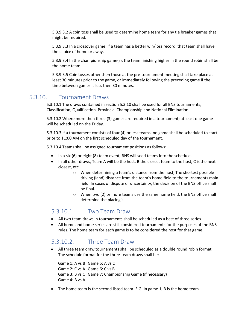5.3.9.3.2 A coin toss shall be used to determine home team for any tie breaker games that might be required.

5.3.9.3.3 In a crossover game, if a team has a better win/loss record, that team shall have the choice of home or away.

5.3.9.3.4 In the championship game(s), the team finishing higher in the round robin shall be the home team.

5.3.9.3.5 Coin tosses other then those at the pre-tournament meeting shall take place at least 30 minutes prior to the game, or immediately following the preceding game if the time between games is less then 30 minutes.

### <span id="page-36-0"></span>5.3.10. Tournament Draws

5.3.10.1 The draws contained in section 5.3.10 shall be used for all BNS tournaments; Classification, Qualification, Provincial Championship and National Elimination.

5.3.10.2 Where more then three (3) games are required in a tournament; at least one game will be scheduled on the Friday.

5.3.10.3 If a tournament consists of four (4) or less teams, no game shall be scheduled to start prior to 11:00 AM on the first scheduled day of the tournament.

5.3.10.4 Teams shall be assigned tournament positions as follows:

- In a six (6) or eight (8) team event, BNS will seed teams into the schedule.
- In all other draws, Team A will be the host, B the closest team to the host, C is the next closest, etc.
	- o When determining a team's distance from the host, The shortest possible driving (land) distance from the team's home field to the tournaments main field. In cases of dispute or uncertainty, the decision of the BNS office shall be final.
	- o When two (2) or more teams use the same home field, the BNS office shall determine the placing's.

### <span id="page-36-1"></span>5.3.10.1. Two Team Draw

- All two team draws in tournaments shall be scheduled as a best of three series.
- All home and home series are still considered tournaments for the purposes of the BNS rules. The home team for each game is to be considered the host for that game.

### <span id="page-36-2"></span>5.3.10.2. Three Team Draw

• All three team draw tournaments shall be scheduled as a double round robin format. The schedule format for the three-team draws shall be:

Game 1: A vs B Game 5: A vs C Game 2: C vs A Game 6: C vs B Game 3: B vs C Game 7: Championship Game (if necessary) Game 4: B vs A

• The home team is the second listed team. E.G. In game 1, B is the home team.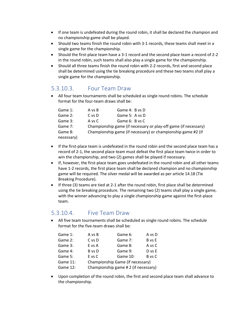- If one team is undefeated during the round robin, it shall be declared the champion and no championship game shall be played.
- Should two teams finish the round robin with 3-1 records, these teams shall meet in a single game for the championship.
- Should the first-place team have a 3-1 record and the second place team a record of 2-2 in the round robin, such teams shall also play a single game for the championship.
- Should all three teams finish the round robin with 2-2 records, first and second place shall be determined using the tie breaking procedure and these two teams shall play a single game for the championship.

### <span id="page-37-0"></span>5.3.10.3. Four Team Draw

• All four team tournaments shall be scheduled as single round robins. The schedule format for the four-team draws shall be:

| Game 1:    | A vs B | Game 4: B vs D                                                  |
|------------|--------|-----------------------------------------------------------------|
| Game 2:    | C vs D | Game 5: A vs D                                                  |
| Game 3:    | A vs C | Game 6: B vs C                                                  |
| Game 7:    |        | Championship game (if necessary or play-off game (if necessary) |
| Game 8:    |        | Championship game (if necessary) or championship game #2 (if    |
| necessary) |        |                                                                 |

- If the first-place team is undefeated in the round robin and the second place team has a record of 2-1, the second place team must defeat the first place team twice in order to win the championship, and two (2) games shall be played if necessary.
- If, however, the first-place team goes undefeated in the round robin and all other teams have 1-2 records, the first place team shall be declared champion and no championship game will be required. The silver medal will be awarded as per article 14.18 (Tie Breaking Procedure).
- If three (3) teams are tied at 2-1 after the round robin, first place shall be determined using the tie breaking procedure. The remaining two (2) teams shall play a single game, with the winner advancing to play a single championship game against the first-place team.

### <span id="page-37-1"></span>5.3.10.4. Five Team Draw

• All five team tournaments shall be scheduled as single round robins. The schedule format for the five-team draws shall be:

| Game 1:  | A vs B | Game 6:                             | A vs D |  |
|----------|--------|-------------------------------------|--------|--|
| Game 2:  | C vs D | Game 7:                             | B vs E |  |
| Game 3:  | E vs A | Game 8:                             | A vs C |  |
| Game 4:  | B vs D | Game 9:                             | D vs E |  |
| Game 5:  | E vs C | Game 10:                            | B vs C |  |
| Game 11: |        | Championship Game (if necessary)    |        |  |
| Game 12: |        | Championship game #2 (if necessary) |        |  |

• Upon completion of the round robin, the first and second place team shall advance to the championship.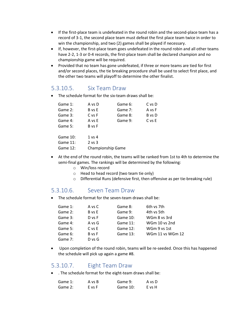- If the first-place team is undefeated in the round robin and the second-place team has a record of 3-1, the second place team must defeat the first place team twice in order to win the championship, and two (2) games shall be played if necessary.
- If, however, the first-place team goes undefeated in the round robin and all other teams have 2-2, 1-3 or 0-4 records, the first-place team shall be declared champion and no championship game will be required.
- Provided that no team has gone undefeated, if three or more teams are tied for first and/or second places, the tie breaking procedure shall be used to select first place, and the other two teams will playoff to determine the other finalist.

### <span id="page-38-0"></span>5.3.10.5. Six Team Draw

• The schedule format for the six-team draws shall be:

| Game 1:  | A vs D            | Game 6: | C vs D |
|----------|-------------------|---------|--------|
| Game 2:  | B vs E            | Game 7: | A vs F |
| Game 3:  | C vs F            | Game 8: | B vs D |
| Game 4:  | A vs E            | Game 9: | C vs E |
| Game 5:  | B vs F            |         |        |
| Game 10: | 1 vs 4            |         |        |
| Game 11: | $2$ vs $3$        |         |        |
| Game 12: | Championship Game |         |        |
|          |                   |         |        |

- At the end of the round robin, the teams will be ranked from 1st to 4th to determine the semi-final games. The rankings will be determined by the following:
	- o Win/loss record
	- o Head to head record (two team tie only)
	- o Differential Runs (defensive first, then offensive as per tie-breaking rule)

#### <span id="page-38-1"></span>5.3.10.6. Seven Team Draw

• The schedule format for the seven-team draws shall be:

| Game 1: | A vs C     | Game 8:  | 6th vs 7th       |
|---------|------------|----------|------------------|
| Game 2: | B vs E     | Game 9:  | 4th vs 5th       |
| Game 3: | D vs F     | Game 10: | WGm 8 vs 3rd     |
| Game 4: | A vs G     | Game 11: | WGm 10 vs 2nd    |
| Game 5: | $C$ vs $E$ | Game 12: | WGm 9 vs 1st     |
| Game 6: | B vs F     | Game 13: | WGm 11 vs WGm 12 |
| Game 7: | $D$ vs $G$ |          |                  |

• Upon completion of the round robin, teams will be re-seeded. Once this has happened the schedule will pick up again a game #8.

### <span id="page-38-2"></span>5.3.10.7. Eight Team Draw

• . The schedule format for the eight-team draws shall be:

| Game 1: | A vs B | Game 9:  | A vs D |
|---------|--------|----------|--------|
| Game 2: | E vs F | Game 10: | E vs H |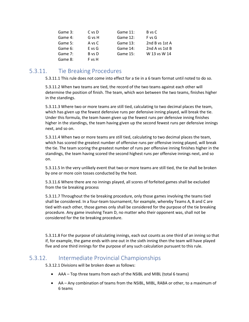| Game 3: | C vs D     | Game 11: | B vs C         |
|---------|------------|----------|----------------|
| Game 4: | G vs H     | Game 12: | F vs G         |
| Game 5: | A vs C     | Game 13: | 2nd B vs 1st A |
| Game 6: | $E$ vs $G$ | Game 14: | 2nd A vs 1st B |
| Game 7: | B vs D     | Game 15: | W 13 vs W 14   |
| Game 8: | F vs H     |          |                |

### <span id="page-39-0"></span>5.3.11. Tie Breaking Procedures

5.3.11.1 This rule does not come into effect for a tie in a 6 team format until noted to do so.

5.3.11.2 When two teams are tied, the record of the two teams against each other will determine the position of finish. The team, which won between the two teams, finishes higher in the standings.

5.3.11.3 Where two or more teams are still tied, calculating to two decimal places the team, which has given up the fewest defensive runs per defensive inning played, will break the tie. Under this formula, the team haven given up the fewest runs per defensive inning finishes higher in the standings, the team having given up the second fewest runs per defensive innings next, and so on.

5.3.11.4 When two or more teams are still tied, calculating to two decimal places the team, which has scored the greatest number of offensive runs per offensive inning played, will break the tie. The team scoring the greatest number of runs per offensive inning finishes higher in the standings, the team having scored the second highest runs per offensive innings next, and so on.

5.3.11.5 In the very unlikely event that two or more teams are still tied, the tie shall be broken by one or more coin tosses conducted by the host.

5.3.11.6 Where there are no innings played, all scores of forfeited games shall be excluded from the tie breaking process

5.3.11.7 Throughout the tie breaking procedure, only those games involving the teams tied shall be considered. In a four-team tournament, for example, whereby Teams A, B and C are tied with each other, those games only shall be considered for the purpose of the tie breaking procedure. Any game involving Team D, no matter who their opponent was, shall not be considered for the tie breaking procedure.

5.3.11.8 For the purpose of calculating innings, each out counts as one third of an inning so that if, for example, the game ends with one out in the sixth inning then the team will have played five and one third innings for the purpose of any such calculation pursuant to this rule.

### <span id="page-39-1"></span>5.3.12. Intermediate Provincial Championships

5.3.12.1 Divisions will be broken down as follows:

- AAA Top three teams from each of the NSIBL and MIBL (total 6 teams)
- AA Any combination of teams from the NSIBL, MIBL, RABA or other, to a maximum of 6 teams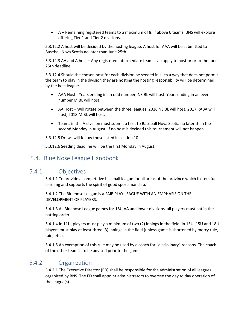• A – Remaining registered teams to a maximum of 8. If above 6 teams, BNS will explore offering Tier 1 and Tier 2 divisions.

5.3.12.2 A host will be decided by the hosting league. A host for AAA will be submitted to Baseball Nova Scotia no later than June 25th.

5.3.12.3 AA and A host – Any registered intermediate teams can apply to host prior to the June 25th deadline.

5.3.12.4 Should the chosen host for each division be seeded in such a way that does not permit the team to play in the division they are hosting the hosting responsibility will be determined by the host league.

- AAA Host Years ending in an odd number, NSIBL will host. Years ending in an even number MIBL will host.
- AA Host Will rotate between the three leagues. 2016 NSIBL will host, 2017 RABA will host, 2018 MIBL will host.
- Teams in the A division must submit a host to Baseball Nova Scotia no later than the second Monday in August. If no host is decided this tournament will not happen.

5.3.12.5 Draws will follow those listed in section 10.

5.3.12.6 Seeding deadline will be the first Monday in August.

### <span id="page-40-0"></span>5.4. Blue Nose League Handbook

### <span id="page-40-1"></span>5.4.1. Objectives

5.4.1.1 To provide a competitive baseball league for all areas of the province which fosters fun, learning and supports the spirit of good sportsmanship.

5.4.1.2 The Bluenose League is a FAIR PLAY LEAGUE WITH AN EMPHASIS ON THE DEVELOPMENT OF PLAYERS.

5.4.1.3 All Bluenose League games for 18U AA and lower divisions, all players must bat in the batting order.

5.4.1.4 In 11U, players must play a minimum of two (2) innings in the field; in 13U, 15U and 18U players must play at least three (3) innings in the field (unless game is shortened by mercy rule, rain, etc.).

5.4.1.5 An exemption of this rule may be used by a coach for "disciplinary" reasons. The coach of the other team is to be advised prior to the game.

### <span id="page-40-2"></span>5.4.2. Organization

5.4.2.1 The Executive Director (ED) shall be responsible for the administration of all leagues organized by BNS. The ED shall appoint administrators to oversee the day to day operation of the league(s).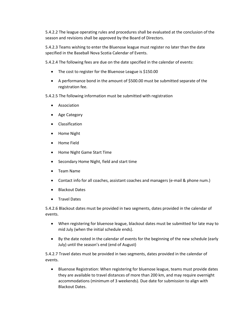5.4.2.2 The league operating rules and procedures shall be evaluated at the conclusion of the season and revisions shall be approved by the Board of Directors.

5.4.2.3 Teams wishing to enter the Bluenose league must register no later than the date specified in the Baseball Nova Scotia Calendar of Events.

5.4.2.4 The following fees are due on the date specified in the calendar of events:

- The cost to register for the Bluenose League is \$150.00
- A performance bond in the amount of \$500.00 must be submitted separate of the registration fee.
- 5.4.2.5 The following information must be submitted with registration
	- Association
	- Age Category
	- Classification
	- Home Night
	- Home Field
	- Home Night Game Start Time
	- Secondary Home Night, field and start time
	- Team Name
	- Contact info for all coaches, assistant coaches and managers (e-mail & phone num.)
	- Blackout Dates
	- Travel Dates

5.4.2.6 Blackout dates must be provided in two segments, dates provided in the calendar of events.

- When registering for bluenose league, blackout dates must be submitted for late may to mid July (when the initial schedule ends).
- By the date noted in the calendar of events for the beginning of the new schedule (early July) until the season's end (end of August)

5.4.2.7 Travel dates must be provided in two segments, dates provided in the calendar of events.

• Bluenose Registration: When registering for bluenose league, teams must provide dates they are available to travel distances of more than 200 km, and may require overnight accommodations (minimum of 3 weekends). Due date for submission to align with Blackout Dates.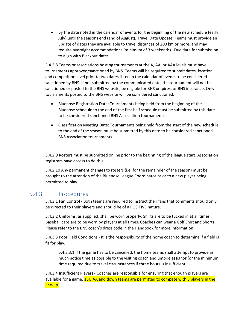• By the date noted in the calendar of events for the beginning of the new schedule (early July) until the seasons end (end of August). Travel Date Update: Teams must provide an update of dates they are available to travel distances of 200 km or more, and may require overnight accommodations (minimum of 3 weekends). Due date for submission to align with Blackout dates.

5.4.2.8 Teams or associations hosting tournaments at the A, AA, or AAA levels must have tournaments approved/sanctioned by BNS. Teams will be required to submit dates, location, and competition level prior to two dates listed in the calendar of events to be considered sanctioned by BNS. If not submitted by the communicated date, the tournament will not be sanctioned or posted to the BNS website, be eligible for BNS umpires, or BNS insurance. Only tournaments posted to the BNS website will be considered sanctioned.

- Bluenose Registration Date: Tournaments being held from the beginning of the Bluenose schedule to the end of the first half schedule must be submitted by this date to be considered sanctioned BNS Association tournaments.
- Classification Meeting Date: Tournaments being held from the start of the new schedule to the end of the season must be submitted by this date to be considered sanctioned BNS Association tournaments.

5.4.2.9 Rosters must be submitted online prior to the beginning of the league start. Association registrars have access to do this.

5.4.2.10 Any permanent changes to rosters (i.e. for the remainder of the season) must be brought to the attention of the Bluenose League Coordinator prior to a new player being permitted to play.

### <span id="page-42-0"></span>5.4.3. Procedures

5.4.3.1 Fan Control - Both teams are required to instruct their fans that comments should only be directed to their players and should be of a POSITIVE nature.

5.4.3.2 Uniforms, as supplied, shall be worn properly. Shirts are to be tucked in at all times. Baseball caps are to be worn by players at all times. Coaches can wear a Golf Shirt and Shorts. Please refer to the BNS coach's dress code in the Handbook for more information.

5.4.3.3 Poor Field Conditions - It is the responsibility of the home coach to determine if a field is fit for play.

5.4.3.3.1 If the game has to be cancelled, the home teams shall attempt to provide as much notice time as possible to the visiting coach and umpire assignor (or the minimum time required due to travel circumstances if three hours is insufficient).

5.4.3.4 Insufficient Players - Coaches are responsible for ensuring that enough players are available for a game. 18U AA and down teams are permitted to compete with 8 players in the line-up.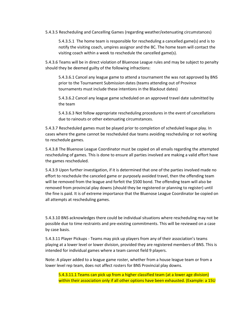5.4.3.5 Rescheduling and Cancelling Games (regarding weather/extenuating circumstances)

5.4.3.5.1 The home team is responsible for rescheduling a cancelled game(s) and is to notify the visiting coach, umpires assignor and the BC. The home team will contact the visiting coach within a week to reschedule the cancelled game(s).

5.4.3.6 Teams will be in direct violation of Bluenose League rules and may be subject to penalty should they be deemed guilty of the following infractions:

5.4.3.6.1 Cancel any league game to attend a tournament the was not approved by BNS prior to the Tournament Submission dates (teams attending out of Province tournaments must include these intentions in the Blackout dates)

5.4.3.6.2 Cancel any league game scheduled on an approved travel date submitted by the team

5.4.3.6.3 Not follow appropriate rescheduling procedures in the event of cancellations due to rainouts or other extenuating circumstances.

5.4.3.7 Rescheduled games must be played prior to completion of scheduled league play. In cases where the game cannot be rescheduled due teams avoiding rescheduling or not working to reschedule games.

5.4.3.8 The Bluenose League Coordinator must be copied on all emails regarding the attempted rescheduling of games. This is done to ensure all parties involved are making a valid effort have the games rescheduled.

5.4.3.9 Upon further investigation, if it is determined that one of the parties involved made no effort to reschedule the canceled game or purposely avoided travel, then the offending team will be removed from the league and forfeit the \$500 bond. The offending team will also be removed from provincial play downs (should they be registered or planning to register) until the fine is paid. It is of extreme importance that the Bluenose League Coordinator be copied on all attempts at rescheduling games.

5.4.3.10 BNS acknowledges there could be individual situations where rescheduling may not be possible due to time restraints and pre-existing commitments. This will be reviewed on a case by case basis.

5.4.3.11 Player Pickups - Teams may pick up players from any of their association's teams playing at a lower level or lower division, provided they are registered members of BNS. This is intended for individual games where a team cannot field 9 players.

Note: A player added to a league game roster, whether from a house league team or from a lower level rep team, does not affect rosters for BNS Provincial play downs.

5.4.3.11.1 Teams can pick up from a higher classified team (at a lower age division) within their association only if all other options have been exhausted. (Example: a 15U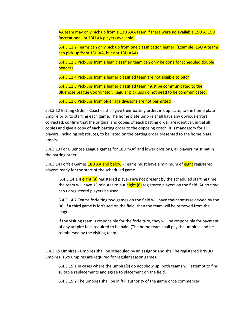AA team may only pick up from a 13U AAA team if there were no available 15U A, 15U Recreational, or 13U AA players available)

5.4.3.11.2 Teams can only pick up from one classification higher. (Example: 15U A teams can pick-up from 13U AA, but not 13U AAA)

5.4.3.11.3 Pick-ups from a high classified team can only be done for scheduled double **headers** 

5.4.3.11.4 Pick-ups from a higher classified team are not eligible to pitch

5.4.3.11.5 Pick-ups from a higher classified team must be communicated to the Bluenose League Coordinator. Regular pick ups do not need to be communicated.

5.4.3.11.6 Pick-ups from older age divisions are not permitted

5.4.3.12 Batting Order - Coaches shall give their batting order, in duplicate, to the home plate umpire prior to starting each game. The home plate umpire shall have any obvious errors corrected, confirm that the original and copies of each batting order are identical, initial all copies and give a copy of each batting order to the opposing coach. It is mandatory for all players, including substitutes, to be listed on the batting order presented to the home plate umpire.

5.4.3.13 For Bluenose League games for 18U "AA" and lower divisions, all players must bat in the batting order.

5.4.3.14 Forfeit Games 18U AA and below - Teams must have a minimum of eight registered players ready for the start of the scheduled game.

5.4.3.14.1 If eight (8) registered players are not present by the scheduled starting time the team will have 15 minutes to put eight (8) registered players on the field. At no time can unregistered players be used.

5.4.3.14.2 Teams forfeiting two games on the field will have their status reviewed by the BC. If a third game is forfeited on the field, then the team will be removed from the league.

If the visiting team is responsible for the forfeiture, they will be responsible for payment of any umpire fees required to be paid. (The home team shall pay the umpires and be reimbursed by the visiting team).

5.4.3.15 Umpires - Umpires shall be scheduled by an assignor and shall be registered BNSUD umpires. Two umpires are required for regular season games.

5.4.3.15.1 In cases where the umpire(s) do not show up, both teams will attempt to find suitable replacements and agree to placement on the field.

5.4.3.15.2 The umpires shall be in full authority of the game once commenced.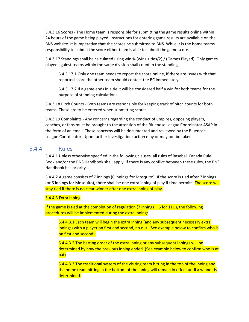5.4.3.16 Scores - The Home team is responsible for submitting the game results online within 24 hours of the game being played. Instructions for entering game results are available on the BNS website. It is imperative that the scores be submitted to BNS. While it is the home teams responsibility to submit the score either team is able to submit the game score.

5.4.3.17 Standings shall be calculated using win % (wins + ties/2) / (Games Played). Only games played against teams within the same division shall count in the standings

5.4.3.17.1 Only one team needs to report the score online, if there are issues with that reported score the other team should contact the BC immediately.

5.4.3.17.2 If a game ends in a tie it will be considered half a win for both teams for the purpose of standing calculations.

5.4.3.18 Pitch Counts - Both teams are responsible for keeping track of pitch counts for both teams. These are to be entered when submitting scores.

5.4.3.19 Complaints - Any concerns regarding the conduct of umpires, opposing players, coaches, or fans must be brought to the attention of the Bluenose League Coordinator ASAP in the form of an email. These concerns will be documented and reviewed by the Bluenose League Coordinator. Upon further investigation; action may or may not be taken.

#### <span id="page-45-0"></span>5.4.4. Rules

5.4.4.1 Unless otherwise specified in the following clauses, all rules of Baseball Canada Rule Book and/or the BNS Handbook shall apply. If there is any conflict between these rules, the BNS Handbook has priority.

5.4.4.2 A game consists of 7 innings (6 innings for Mosquito). If the score is tied after 7 innings (or 6 innings for Mosquito), there shall be one extra inning of play if time permits. The score will stay tied if there is no clear winner after one extra inning of play.

#### 5.4.4.3 Extra Inning

If the game is tied at the completion of regulation (7 innings – 6 for 11U), the following procedures will be implemented during the extra inning:

5.4.4.3.1 Each team will begin the extra inning (and any subsequent necessary extra innings) with a player on first and second, no out. (See example below to confirm who is on first and second).

5.4.4.3.2 The batting order of the extra inning or any subsequent innings will be determined by how the previous inning ended. (See example below to confirm who is at bat)

5.4.4.3.3 The traditional system of the visiting team hitting in the top of the inning and the home team hitting in the bottom of the inning will remain in effect until a winner is determined.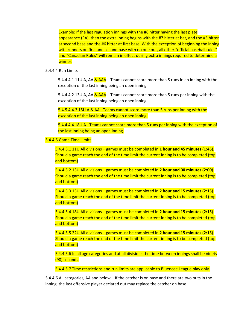Example: If the last regulation innings with the #6 hitter having the last plate appearance (PA), then the extra inning begins with the #7 hitter at bat, and the #5 hitter at second base and the #6 hitter at first base. With the exception of beginning the inning with runners on first and second base with no one out, all other "official baseball rules" and "Canadian Rules" will remain in effect during extra innings required to determine a winner.

5.4.4.4 Run Limits

5.4.4.4.1 11U A, AA  $\&$  AAA – Teams cannot score more than 5 runs in an inning with the exception of the last inning being an open inning.

5.4.4.4.2 13U A, AA & AAA – Teams cannot score more than 5 runs per inning with the exception of the last inning being an open inning.

5.4.5.4.4.3 15U A & AA - Teams cannot score more than 5 runs per inning with the exception of the last inning being an open inning.

5.4.4.4.4 18U A - Teams cannot score more than 5 runs per inning with the exception of the last inning being an open inning.

5.4.4.5 Game Time Limits

5.4.4.5.1 11U All divisions – games must be completed in **1 hour and 45 minutes (1:45**). Should a game reach the end of the time limit the current inning is to be completed (top and bottom)

5.4.4.5.2 13U All divisions – games must be completed in **2 hour and 00 minutes (2:00**). Should a game reach the end of the time limit the current inning is to be completed (top and bottom)

5.4.4.5.3 15U All divisions – games must be completed in **2 hour and 15 minutes (2:15**). Should a game reach the end of the time limit the current inning is to be completed (top and bottom)

5.4.4.5.4 18U All divisions – games must be completed in **2 hour and 15 minutes (2:15**). Should a game reach the end of the time limit the current inning is to be completed (top and bottom)

5.4.4.5.5 22U All divisions – games must be completed in **2 hour and 15 minutes (2:15**). Should a game reach the end of the time limit the current inning is to be completed (top and bottom)

5.4.4.5.6 In all age categories and at all divisions the time between innings shall be ninety (90) seconds.

5.4.4.5.7 Time restrictions and run limits are applicable to Bluenose League play only.

5.4.4.6 All categories, AA and below – If the catcher is on base and there are two outs in the inning, the last offensive player declared out may replace the catcher on base.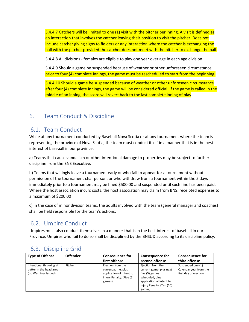5.4.4.7 Catchers will be limited to one (1) visit with the pitcher per inning. A visit is defined as an interaction that involves the catcher leaving their position to visit the pitcher. Does not include catcher giving signs to fielders or any interaction where the catcher is exchanging the ball with the pitcher provided the catcher does not meet with the pitcher to exchange the ball.

5.4.4.8 All divisions - females are eligible to play one year over age in each age division.

5.4.4.9 Should a game be suspended because of weather or other unforeseen circumstance prior to four (4) complete innings, the game must be rescheduled to start from the beginning.

5.4.4.10 Should a game be suspended because of weather or other unforeseen circumstance after four (4) complete innings, the game will be considered official. If the game is called in the middle of an inning, the score will revert back to the last complete inning of play.

### <span id="page-47-0"></span>6. Team Conduct & Discipline

### <span id="page-47-1"></span>6.1. Team Conduct

While at any tournament conducted by Baseball Nova Scotia or at any tournament where the team is representing the province of Nova Scotia, the team must conduct itself in a manner that is in the best interest of baseball in our province.

a) Teams that cause vandalism or other intentional damage to properties may be subject to further discipline from the BNS Executive.

b) Teams that willingly leave a tournament early or who fail to appear for a tournament without permission of the tournament chairperson, or who withdraw from a tournament within the 5 days immediately prior to a tournament may be fined \$500.00 and suspended until such fine has been paid. Where the host association incurs costs, the host association may claim from BNS, receipted expenses to a maximum of \$200.00

c) In the case of minor division teams, the adults involved with the team (general manager and coaches) shall be held responsible for the team's actions.

### <span id="page-47-2"></span>6.2. Umpire Conduct

Umpires must also conduct themselves in a manner that is in the best interest of baseball in our Province. Umpires who fail to do so shall be disciplined by the BNSUD according to its discipline policy.

| <b>Type of Offense</b>                             | <b>Offender</b> | <b>Consequence for</b>                                          | <b>Consequence for</b>                                        | <b>Consequence for</b>                      |
|----------------------------------------------------|-----------------|-----------------------------------------------------------------|---------------------------------------------------------------|---------------------------------------------|
|                                                    |                 | first offense                                                   | second offense                                                | third offense                               |
| Intentional throwing at<br>batter in the head area | Pitcher         | Ejection from the<br>current game, plus                         | Ejection from the<br>current game, plus next                  | Suspended one (1)<br>Calendar year from the |
| (no Warnings Issued)                               |                 | application of intent to<br>injury Penalty. (Five (5)<br>games) | five (5) games<br>scheduled, plus<br>application of intent to | first day of ejection.                      |
|                                                    |                 |                                                                 | injury Penalty. (Ten (10)<br>games)                           |                                             |

### <span id="page-47-3"></span>6.3. Discipline Grid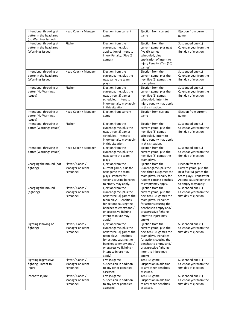| Intentional throwing at<br>batter in the head area                                              | Head Coach / Manager                             | Ejection from current<br>game                                                                                                                                                                                       | Ejection from current<br>game                                                                                                                                                                                     | Ejection from current<br>game                                                                                                                       |
|-------------------------------------------------------------------------------------------------|--------------------------------------------------|---------------------------------------------------------------------------------------------------------------------------------------------------------------------------------------------------------------------|-------------------------------------------------------------------------------------------------------------------------------------------------------------------------------------------------------------------|-----------------------------------------------------------------------------------------------------------------------------------------------------|
| (no Warnings Issued)<br>Intentional throwing at<br>batter in the head area<br>(Warnings Issued) | Pitcher                                          | Ejection from the<br>current game, plus<br>application of intent to<br>injury Penalty. (Five (5)<br>games)                                                                                                          | Ejection from the<br>current game, plus next<br>five (5) games<br>scheduled, plus<br>application of intent to<br>injury Penalty. (Ten (10)<br>games)                                                              | Suspended one (1)<br>Calendar year from the<br>first day of ejection.                                                                               |
| Intentional throwing at<br>batter in the head area<br>(Warnings Issued)                         | Head Coach / Manager                             | Ejection from the<br>current game, plus the<br>next game the team<br>plays.                                                                                                                                         | Ejection from the<br>current game, plus the<br>next five (5) games the<br>team plays.                                                                                                                             | Suspended one (1)<br>Calendar year from the<br>first day of ejection.                                                                               |
| Intentional throwing at<br>batter (No Warnings<br>Issued)                                       | Pitcher                                          | Ejection from the<br>current game, plus the<br>next three (3) games<br>scheduled. Intent to<br>injury penalty may apply<br>in this situation.                                                                       | Ejection from the<br>current game, plus the<br>next five (5) games<br>scheduled. Intent to<br>injury penalty may apply<br>in this situation.                                                                      | Suspended one (1)<br>Calendar year from the<br>first day of ejection.                                                                               |
| Intentional throwing at<br>batter (No Warnings<br>Issued)                                       | Head Coach / Manager                             | Ejection from current<br>game                                                                                                                                                                                       | Ejection from current<br>game                                                                                                                                                                                     | Ejection from current<br>game                                                                                                                       |
| Intentional throwing at<br>batter (Warnings Issued)                                             | Pitcher                                          | Ejection from the<br>current game, plus the<br>next three (3) games<br>scheduled. Intent to<br>injury penalty may apply<br>in this situation.                                                                       | Ejection from the<br>current game, plus the<br>next five (5) games<br>scheduled. Intent to<br>injury penalty may apply<br>in this situation.                                                                      | Suspended one (1)<br>Calendar year from the<br>first day of ejection.                                                                               |
| Intentional throwing at<br>batter (Warnings Issued)                                             | Head Coach / Manager                             | Ejection from the<br>current game, plus the<br>next game the team<br>plays.                                                                                                                                         | Ejection from the<br>current game, plus the<br>next five (5) games the<br>team plays.                                                                                                                             | Suspended one (1)<br>Calendar year from the<br>first day of ejection.                                                                               |
| Charging the mound (not<br>fighting)                                                            | Player / Coach /<br>Manager or Team<br>Personnel | Ejection from the<br>Current game, plus the<br>next game the team<br>plays. Penalty for<br>Actions causing benches<br>to empty may apply.                                                                           | Ejection from the<br>Current game, plus the<br>next three (3) games the<br>team plays. Penalty for<br>Actions causing benches<br>to empty may apply.                                                              | Ejection from the<br>Current game, plus the<br>next five (5) games the<br>team plays. Penalty for<br>Actions causing benches<br>to empty may apply. |
| Charging the mound<br>(fighting)                                                                | Player / Coach /<br>Manager or Team<br>Personnel | Ejection from the<br>current game, plus the<br>next three (3) games the<br>team plays. Penalties<br>for actions causing the<br>benches to empty and /<br>or aggressive fighting -<br>intent to injure may<br>apply) | Ejection from the<br>current game, plus the<br>next ten (10) games the<br>team plays. Penalties<br>for actions causing the<br>benches to empty and/<br>or aggressive fighting -<br>intent to injure may<br>apply) | Suspended one (1)<br>Calendar year from the<br>first day of ejection.                                                                               |
| Fighting (shoving or<br>fighting)                                                               | Player / Coach /<br>Manager or Team<br>Personnel | Ejection from the<br>current game, plus the<br>next three (3) games the<br>team plays. Penalties<br>for actions causing the<br>benches to empty and /<br>or aggressive fighting -<br>intent to injure may<br>apply) | Ejection from the<br>current game, plus the<br>next ten (10) games the<br>team plays. Penalties<br>for actions causing the<br>benches to empty and/<br>or aggressive fighting -<br>intent to injure may<br>apply) | Suspended one (1)<br>Calendar year from the<br>first day of ejection.                                                                               |
| Fighting (aggressive<br>fighting - intent to<br>injure)                                         | Player / Coach /<br>Manager or Team<br>Personnel | Five (5) game<br>Suspension in addition<br>to any other penalties<br>assessed.                                                                                                                                      | Ten (10) game<br>Suspension in addition<br>to any other penalties<br>assessed.                                                                                                                                    | Suspended one (1)<br>Calendar year from the<br>first day of ejection.                                                                               |
| Intent to injure                                                                                | Player / Coach /<br>Manager or Team<br>Personnel | Five (5) game<br>Suspension in addition<br>to any other penalties<br>assessed.                                                                                                                                      | Ten (10) game<br>Suspension in addition<br>to any other penalties<br>assessed.                                                                                                                                    | Suspended one (1)<br>Calendar year from the<br>first day of ejection.                                                                               |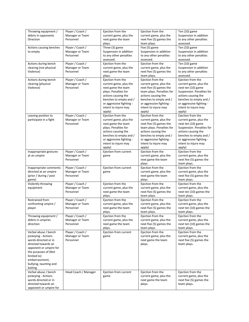| Throwing equipment /    | Player / Coach /     | Ejection from the        | Ejection from the         | Ten (10) game             |
|-------------------------|----------------------|--------------------------|---------------------------|---------------------------|
| debris in opponents     | Manager or Team      | current game, plus the   | current game, plus the    | Suspension in addition    |
|                         | Personnel            |                          |                           |                           |
| Direction               |                      | next game the team       | next five (5) games the   | to any other penalties    |
|                         |                      | plays.                   | team plays.               | assessed.                 |
| Actions causing benches | Player / Coach /     | Three (3) game           | Five (5) game             | Ten (10) game             |
| to empty                | Manager or Team      | Suspension in addition   | Suspension in addition    | Suspension in addition    |
|                         | Personnel            | to any other penalties   | to any other penalties    | to any other penalties    |
|                         |                      | assessed.                | assessed.                 | assessed.                 |
|                         |                      |                          |                           |                           |
| Actions during bench    | Player / Coach /     | Ejection from the        | Ejection from the         | Ten (10) game             |
| clearing (not physical  | Manager or Team      | current game, plus the   | current game, plus the    | Suspension in addition    |
| Violence)               | Personnel            | next game the team       | next five (5) games the   | to any other penalties    |
|                         |                      | plays.                   | team plays.               | assessed.                 |
| Actions during bench    | Player / Coach /     | Ejection from the        | Ejection from the         | Ejection from the         |
| clearing (physical      | Manager or Team      | current game, plus the   | current game, plus the    | current game, plus the    |
| Violence)               | Personnel            | next game the team       | next five (5) games the   | next ten (10) game        |
|                         |                      | plays. Penalties for     | team plays. Penalties for | Suspension. Penalties for |
|                         |                      |                          |                           |                           |
|                         |                      | actions causing the      | actions causing the       | actions causing the       |
|                         |                      | benches to empty and /   | benches to empty and /    | benches to empty and /    |
|                         |                      | or aggressive fighting - | or aggressive fighting -  | or aggressive fighting -  |
|                         |                      | intent to injure may     | intent to injure may      | intent to injure may      |
|                         |                      | apply)                   | apply)                    | apply)                    |
| Leaving position to     | Player / Coach /     | Ejection from the        | Ejection from the         | Ejection from the         |
| participate in a fight  | Manager or Team      | current game, plus the   | current game, plus the    | current game, plus the    |
|                         | Personnel            |                          | next five (5) games the   |                           |
|                         |                      | next game the team       |                           | next ten (10) game        |
|                         |                      | plays. Penalties for     | team plays. Penalties for | Suspension. Penalties for |
|                         |                      | actions causing the      | actions causing the       | actions causing the       |
|                         |                      | benches to empty and /   | benches to empty and /    | benches to empty and /    |
|                         |                      | or aggressive fighting - | or aggressive fighting -  | or aggressive fighting -  |
|                         |                      | intent to injure may     | intent to injure may      | intent to injure may      |
|                         |                      | apply)                   | apply)                    | apply)                    |
| Inappropriate gestures  | Player / Coach /     | Ejection from current    | Ejection from the         | Ejection from the         |
|                         | Manager or Team      |                          |                           | current game, plus the    |
| at an umpire            |                      | game                     | current game, plus the    |                           |
|                         | Personnel            |                          | next game the team        | next five (5) games the   |
|                         |                      |                          | plays.                    | team plays.               |
| Inappropriate comments  | Player / Coach /     | Ejection from current    | Ejection from the         | Ejection from the         |
| directed at an umpire   | Manager or Team      | game                     | current game, plus the    | current game, plus the    |
| (prior / during / post  | Personnel            |                          | next game the team        | next five (5) games the   |
| game)                   |                      |                          | plays.                    | team plays.               |
| Violently throwing      | Player / Coach /     | Ejection from the        | Ejection from the         | Ejection from the         |
|                         |                      |                          |                           |                           |
| equipment               | Manager or Team      | current game, plus the   | current game, plus the    | current game, plus the    |
|                         | Personnel            | next game the team       | next five (5) games the   | next ten (10) games the   |
|                         |                      | plays.                   | team plays.               | team plays.               |
| Restrained from         | Player / Coach /     | Ejection from the        | Ejection from the         | Ejection from the         |
| confronting umpire /    | Manager or Team      | current game, plus the   | current game, plus the    | current game, plus the    |
| player                  | Personnel            | next game the team       | next five (5) games the   | next ten (10) games the   |
|                         |                      | plays.                   | team plays.               | team plays.               |
| Throwing equipment /    | Player / Coach /     | Ejection from the        | Ejection from the         | Ejection from the         |
|                         |                      |                          |                           |                           |
| debris in umpires       | Manager or Team      | current game, plus the   | current game, plus the    | current game, plus the    |
| direction               | Personnel            | next game the team       | next five (5) games the   | next ten (10) games the   |
|                         |                      | plays.                   | team plays.               | team plays.               |
| Verbal abuse / bench    | Player / Coach /     | Ejection from current    | Ejection from the         | Ejection from the         |
| jockeying - Actions     | Manager or Team      | game                     | current game, plus the    | current game, plus the    |
| words directed or in    | Personnel            |                          | next game the team        | next five (5) games the   |
| directed towards an     |                      |                          | plays.                    | team plays.               |
| opponent or umpire for  |                      |                          |                           |                           |
|                         |                      |                          |                           |                           |
| the purposes of (Not    |                      |                          |                           |                           |
| limited to)             |                      |                          |                           |                           |
| embarrassment,          |                      |                          |                           |                           |
| bullying, taunting and  |                      |                          |                           |                           |
| baiting                 |                      |                          |                           |                           |
| Verbal abuse / bench    | Head Coach / Manager | Ejection from current    | Ejection from the         | Ejection from the         |
| jockeying - Actions     |                      | game                     | current game, plus the    | current game, plus the    |
| words directed or in    |                      |                          | next game the team        | next five (5) games the   |
|                         |                      |                          |                           |                           |
| directed towards an     |                      |                          | plays.                    | team plays.               |
| opponent or umpire for  |                      |                          |                           |                           |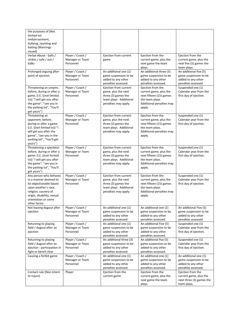| the purposes of (Not<br>limited to)<br>embarrassment,<br>bullying, taunting and<br>baiting (Warnings<br>issued)                                                                                 |                                                  |                                                                                                                       |                                                                                                                                 |                                                                                              |
|-------------------------------------------------------------------------------------------------------------------------------------------------------------------------------------------------|--------------------------------------------------|-----------------------------------------------------------------------------------------------------------------------|---------------------------------------------------------------------------------------------------------------------------------|----------------------------------------------------------------------------------------------|
| Verbal Abuse - balls /<br>strikes / safe / out /<br>balks                                                                                                                                       | Player / Coach /<br>Manager or Team<br>Personnel | Ejection from current<br>game                                                                                         | Ejection from the<br>current game, plus the<br>next game the team<br>plays.                                                     | Ejection from the<br>current game, plus the<br>next five (5) games the<br>team plays.        |
| Prolonged arguing after<br>point of ejection                                                                                                                                                    | Player / Coach /<br>Manager or Team<br>Personnel | An additional one (1)<br>game suspension to be<br>added to any other<br>penalties assessed.                           | An additional three (3)<br>game suspension to be<br>added to any other<br>penalties assessed.                                   | An additional five (5)<br>game suspension to be<br>added to any other<br>penalties assessed. |
| Threatening an umpire,<br>before, during or after a<br>game. (I.E. ((not limited<br>to)) "I will get you after<br>the game", "see you in<br>the parking lot", "You'll<br>get yours")            | Player / Coach /<br>Manager or Team<br>Personnel | Ejection from current<br>game, plus the next<br>three (3) games the<br>team plays. Additional<br>penalties may apply. | Ejection from the<br>current game, plus the<br>next fifteen (15) games<br>the team plays.<br>Additional penalties may<br>apply. | Suspended one (1)<br>Calendar year from the<br>first day of ejection.                        |
| Threatening an<br>opponent, before,<br>during or after a game.<br>(I.E. ((not limited to)) "I<br>will get you after the<br>game", "see you in the<br>parking lot", "You'll get<br>yours")       | Player / Coach /<br>Manager or Team<br>Personnel | Ejection from current<br>game, plus the next<br>three (3) games the<br>team plays. Additional<br>penalties may apply. | Ejection from the<br>current game, plus the<br>next fifteen (15) games<br>the team plays.<br>Additional penalties may<br>apply. | Suspended one (1)<br>Calendar year from the<br>first day of ejection.                        |
| Threatening a spectator<br>before, during or after a<br>game. (I.E. ((not limited<br>to)) "I will get you after<br>the game", "see you in<br>the parking lot", "You'll<br>get yours")           | Player / Coach /<br>Manager or Team<br>Personnel | Ejection from current<br>game, plus the next<br>three (3) games the<br>team plays. Additional<br>penalties may apply. | Ejection from the<br>current game, plus the<br>next fifteen (15) games<br>the team plays.<br>Additional penalties may<br>apply. | Suspended one (1)<br>Calendar year from the<br>first day of ejection.                        |
| Any person who behaves<br>in a manner deemed to<br>be objectionable based<br>upon another's race,<br>religion, country of<br>origin, disability, sexual<br>orientation or some<br>other factor. | Player / Coach /<br>Manager or Team<br>Personnel | Ejection from current<br>game, plus the next<br>three (3) games the<br>team plays. Additional<br>penalties may apply. | Ejection from the<br>current game, plus the<br>next fifteen (15) games<br>the team plays.<br>Additional penalties may<br>apply. | Suspended one (1)<br>Calendar year from the<br>first day of ejection.                        |
| Not leaving dugout after<br>ejection                                                                                                                                                            | Player / Coach /<br>Manager or Team<br>Personnel | An additional one (1)<br>game suspension to be<br>added to any other<br>penalties assessed.                           | An additional one (1)<br>game suspension to be<br>added to any other<br>penalties assessed.                                     | An additional Five (5)<br>game suspension to be<br>added to any other<br>penalties assessed. |
| Returning to playing<br>field / dugout after an<br>ejection                                                                                                                                     | Player / Coach /<br>Manager or Team<br>Personnel | An additional one (1)<br>game suspension to be<br>added to any other<br>penalties assessed.                           | An additional Five (5)<br>game suspension to be<br>added to any other<br>penalties assessed.                                    | Suspended one (1)<br>Calendar year from the<br>first day of ejection.                        |
| Returning to playing<br>field / dugout after an<br>ejection - participation in<br>fight or bench clear                                                                                          | Player / Coach /<br>Manager or Team<br>Personnel | An additional three (3)<br>game suspension to be<br>added to any other<br>penalties assessed.                         | An additional five (5)<br>game suspension to be<br>added to any other<br>penalties assessed.                                    | Suspended one (1)<br>Calendar year from the<br>first day of ejection.                        |
| Causing a forfeit game                                                                                                                                                                          | Player / Coach /<br>Manager or Team<br>Personnel | An additional one (1)<br>game suspension to be<br>added to any other<br>penalties assessed.                           | An additional one (1)<br>game suspension to be<br>added to any other<br>penalties assessed.                                     | An additional one (1)<br>game suspension to be<br>added to any other<br>penalties assessed.  |
| Contact rule (Non Intent<br>to Injure)                                                                                                                                                          | Player                                           | Ejection from the<br>current game                                                                                     | Ejection from the<br>current game, plus the<br>next game the team<br>plays.                                                     | Ejection from the<br>current game, plus the<br>next three (3) games the<br>team plays.       |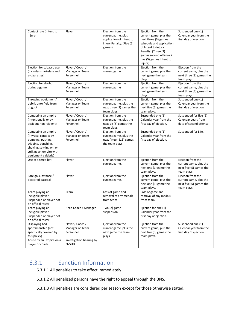| Contact rule (Intent to  | Player                   | Ejection from the         | Ejection from the        | Suspended one (1)        |
|--------------------------|--------------------------|---------------------------|--------------------------|--------------------------|
| injure)                  |                          | current game, plus        | current game, plus the   | Calendar year from the   |
|                          |                          | application of intent to  | next three (3) games     | first day of ejection.   |
|                          |                          | injury Penalty. (Five (5) | schedule and application |                          |
|                          |                          | games)                    | of Intent to injury      |                          |
|                          |                          |                           | Penalty. (Three (3)      |                          |
|                          |                          |                           | games second offense +   |                          |
|                          |                          |                           | five (5) games intent to |                          |
|                          |                          |                           | injure)                  |                          |
| Ejection for tobacco use | Player / Coach /         | Ejection from the         | Ejection from the        | Ejection from the        |
| (includes smokeless and  | Manager or Team          | current game              | current game, plus the   | current game, plus the   |
| e-cigarettes)            | Personnel                |                           | next game the team       | next three (3) games the |
|                          |                          |                           | plays.                   | team plays.              |
| Ejection for alcohol     | Player / Coach /         | Ejection from the         | Ejection from the        | Ejection from the        |
| during a game.           | Manager or Team          | current game              | current game, plus the   | current game, plus the   |
|                          | Personnel                |                           | next game the team       | next three (3) games the |
|                          |                          |                           | plays.                   | team plays.              |
| Throwing equipment/      | Player / Coach /         | Ejection from the         | Ejection from the        | Suspended one (1)        |
| debris onto field from   | Manager or Team          | current game, plus the    | current game, plus the   | Calendar year from the   |
| dugout                   | Personnel                | next three (3) games the  | next five (5) games the  | first day of ejection.   |
|                          |                          | team plays.               | team plays.              |                          |
| Contacting an umpire     | Player / Coach /         | Ejection from the         | Suspended one (1)        | Suspended for five (5)   |
| (intentionally or by     | Manager or Team          | current game, plus the    | Calendar year from the   | Calendar years from      |
| accident non-violent)    | Personnel                | next six (6) games the    | first day of ejection.   | date of second offense.  |
|                          |                          | team plays.               |                          |                          |
| Contacting an umpire     | Player / Coach /         | Ejection from the         | Suspended one (1)        | Suspended for Life.      |
| (Physical contact by     | Manager or Team          | current game, plus the    | Calendar year from the   |                          |
| bumping, pushing,        | Personnel                | next fifteen (15) games   | first day of ejection.   |                          |
| tripping, punching,      |                          | the team plays.           |                          |                          |
| shoving, spitting on, or |                          |                           |                          |                          |
| striking an umpire with  |                          |                           |                          |                          |
| equipment / debris)      |                          |                           |                          |                          |
| Use of altered bat       | Player                   | Ejection from the         | Ejection from the        | Ejection from the        |
|                          |                          | current game.             | current game, plus the   | current game, plus the   |
|                          |                          |                           | next one (1) game the    | next five (5) games the  |
|                          |                          |                           | team plays.              | team plays.              |
| Foreign substance /      | Player                   | Ejection from the         | Ejection from the        | Ejection from the        |
| doctored baseball        |                          | current game.             | current game, plus the   | current game, plus the   |
|                          |                          |                           | next one (1) game the    | next five (5) games the  |
|                          |                          |                           | team plays.              | team plays.              |
| Team playing an          | Team                     | Loss of game and          | Loss of game and         |                          |
| ineligible player,       |                          | removal of any medals     | removal of any medals    |                          |
| Suspended or player not  |                          | from team                 | from team.               |                          |
| on official roster       |                          |                           |                          |                          |
| Team playing an          | Head Coach / Manager     | Two (2) game              | Ejection for one $(1)$   |                          |
| ineligible player,       |                          | suspension                | Calendar year from the   |                          |
| Suspended or player not  |                          |                           | first day of ejection.   |                          |
| on official roster       |                          |                           |                          |                          |
| Displaying bad           | Player / Coach /         | Ejection from the         | Ejection from the        | Suspended one (1)        |
| sportsmanship (not       | Manager or Team          | current game, plus the    | current game, plus the   | Calendar year from the   |
| specifically covered by  | Personnel                | next game the team        | next five (5) games the  | first day of ejection.   |
| this policy)             |                          | plays.                    | team plays.              |                          |
| Abuse by an Umpire on a  | Investigation hearing by |                           |                          |                          |
| player or coach          | <b>BNSUD</b>             |                           |                          |                          |

### <span id="page-51-0"></span>6.3.1. Sanction Information

- 6.3.1.1 All penalties to take effect immediately.
- 6.3.1.2 All penalized persons have the right to appeal through the BNS.
- 6.3.1.3 All penalties are considered per season except for those otherwise stated.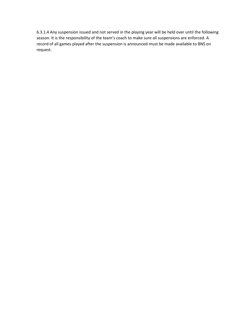6.3.1.4 Any suspension issued and not served in the playing year will be held over until the following season. It is the responsibility of the team's coach to make sure all suspensions are enforced. A record of all games played after the suspension is announced must be made available to BNS on request.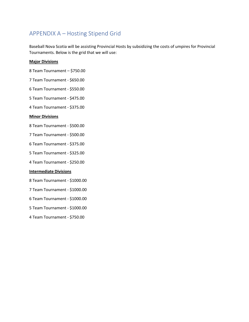### <span id="page-53-0"></span>APPENDIX A – Hosting Stipend Grid

Baseball Nova Scotia will be assisting Provincial Hosts by subsidizing the costs of umpires for Provincial Tournaments. Below is the grid that we will use:

#### **Major Divisions**

- 8 Team Tournament \$750.00
- 7 Team Tournament \$650.00
- 6 Team Tournament \$550.00
- 5 Team Tournament \$475.00
- 4 Team Tournament \$375.00

#### **Minor Divisions**

- 8 Team Tournament \$500.00
- 7 Team Tournament \$500.00
- 6 Team Tournament \$375.00
- 5 Team Tournament \$325.00
- 4 Team Tournament \$250.00

#### **Intermediate Divisions**

- 8 Team Tournament \$1000.00
- 7 Team Tournament \$1000.00
- 6 Team Tournament \$1000.00
- 5 Team Tournament \$1000.00
- 4 Team Tournament \$750.00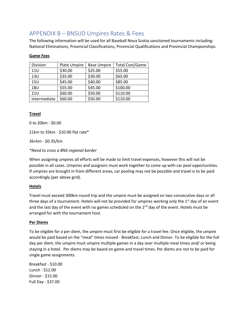### <span id="page-54-0"></span>APPENDIX B – BNSUD Umpires Rates & Fees

The following information will be used for all Baseball Nova Scotia sanctioned tournaments including: National Eliminations, Provincial Classifications, Provincial Qualifications and Provincial Championships

#### **Game Fees**

| Division     | Plate Umpire | <b>Base Umpire</b> | <b>Total Cost/Game</b> |
|--------------|--------------|--------------------|------------------------|
| <b>11U</b>   | \$30.00      | \$25.00            | \$55.00                |
| 13U          | \$35.00      | \$30.00            | \$65.00                |
| 15U          | \$45.00      | \$40.00            | \$85.00                |
| 18U          | \$55.00      | \$45.00            | \$100.00               |
| <b>21U</b>   | \$60.00      | \$50.00            | \$110.00               |
| Intermediate | \$60.00      | \$50.00            | \$110.00               |

#### **Travel**

0 to 20km - \$0.00

21km to 35km - \$10.00 flat rate\*

36+km - \$0.35/km

*\*Need to cross a BNS regional border*

When assigning umpires all efforts will be made to limit travel expenses, however this will not be possible in all cases. Umpires and assignors must work together to come up with car pool opportunities. If umpires are brought in from different areas, car pooling may not be possible and travel is to be paid accordingly (per above grid).

#### **Hotels**

Travel must exceed 300km round trip and the umpire must be assigned on two consecutive days or all three days of a tournament. Hotels will not be provided for umpires working only the  $1<sup>st</sup>$  day of an event and the last day of the event with no games scheduled on the 2<sup>nd</sup> day of the event. Hotels must be arranged for with the tournament host.

#### **Per Diems**

To be eligible for a per diem, the umpire must first be eligible for a travel fee. Once eligible, the umpire would be paid based on the "meal" times missed - Breakfast, Lunch and Dinner. To be eligible for the full day per diem, the umpire must umpire multiple games in a day over multiple meal times and/ or being staying in a hotel. Per diems may be based on game and travel times. Per diems are not to be paid for single game assignments.

Breakfast - \$10.00 Lunch - \$12.00 Dinner - \$15.00 Full Day - \$37.00